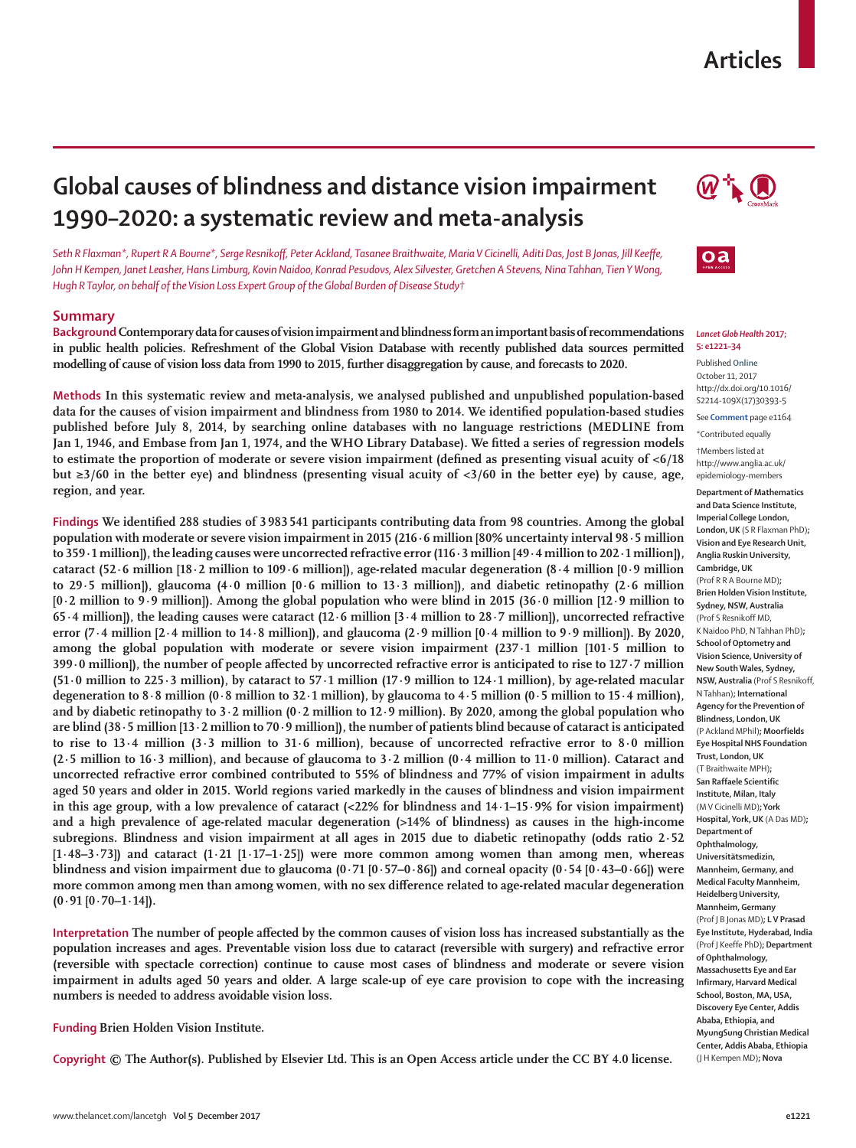# **Articles**

# **Global causes of blindness and distance vision impairment 1990–2020: a systematic review and meta-analysis**



oa

*Seth R Flaxman\*, Rupert R A Bourne\*, Serge Resnikoff, Peter Ackland, Tasanee Braithwaite, Maria V Cicinelli, Aditi Das, Jost B Jonas, Jill Keeffe, John H Kempen, Janet Leasher, Hans Limburg, Kovin Naidoo, Konrad Pesudovs, Alex Silvester, Gretchen A Stevens, Nina Tahhan, Tien Y Wong, Hugh R Taylor, on behalf of the Vision Loss Expert Group of the Global Burden of Disease Study†*

# **Summary**

**Background Contemporary data for causes of vision impairment and blindness form an important basis of recommendations in public health policies. Refreshment of the Global Vision Database with recently published data sources permitted modelling of cause of vision loss data from 1990 to 2015, further disaggregation by cause, and forecasts to 2020.**

**Methods In this systematic review and meta-analysis, we analysed published and unpublished population-based data for the causes of vision impairment and blindness from 1980 to 2014. We identified population-based studies published before July 8, 2014, by searching online databases with no language restrictions (MEDLINE from Jan 1, 1946, and Embase from Jan 1, 1974, and the WHO Library Database). We fitted a series of regression models to estimate the proportion of moderate or severe vision impairment (defined as presenting visual acuity of <6/18 but ≥3/60 in the better eye) and blindness (presenting visual acuity of <3/60 in the better eye) by cause, age, region, and year.** 

**Findings We identified 288 studies of 3 983 541 participants contributing data from 98 countries. Among the global population with moderate or severe vision impairment in 2015 (216·6 million [80% uncertainty interval 98·5 million**  to 359 · 1 million]), the leading causes were uncorrected refractive error (116 · 3 million [49 · 4 million to 202 · 1 million]), **cataract (52·6 million [18·2 million to 109·6 million]), age-related macular degeneration (8·4 million [0·9 million to 29·5 million]), glaucoma (4·0 million [0·6 million to 13·3 million]), and diabetic retinopathy (2·6 million [0·2 million to 9·9 million]). Among the global population who were blind in 2015 (36·0 million [12·9 million to 65·4 million]), the leading causes were cataract (12·6 million [3·4 million to 28·7 million]), uncorrected refractive error (7·4 million [2·4 million to 14·8 million]), and glaucoma (2·9 million [0·4 million to 9·9 million]). By 2020, among the global population with moderate or severe vision impairment (237·1 million [101·5 million to 399·0 million]), the number of people affected by uncorrected refractive error is anticipated to rise to 127·7 million (51·0 million to 225·3 million), by cataract to 57·1 million (17·9 million to 124·1 million), by age-related macular degeneration to 8·8 million (0·8 million to 32·1 million), by glaucoma to 4·5 million (0·5 million to 15·4 million), and by diabetic retinopathy to 3·2 million (0·2 million to 12·9 million). By 2020, among the global population who are blind (38·5 million [13·2 million to 70·9 million]), the number of patients blind because of cataract is anticipated to rise to 13·4 million (3·3 million to 31·6 million), because of uncorrected refractive error to 8·0 million (2·5 million to 16·3 million), and because of glaucoma to 3·2 million (0·4 million to 11·0 million). Cataract and uncorrected refractive error combined contributed to 55% of blindness and 77% of vision impairment in adults aged 50 years and older in 2015. World regions varied markedly in the causes of blindness and vision impairment in this age group, with a low prevalence of cataract (<22% for blindness and 14·1–15·9% for vision impairment) and a high prevalence of age-related macular degeneration (>14% of blindness) as causes in the high-income subregions. Blindness and vision impairment at all ages in 2015 due to diabetic retinopathy (odds ratio 2·52 [1·48–3·73]) and cataract (1·21 [1·17–1·25]) were more common among women than among men, whereas blindness and vision impairment due to glaucoma (0·71 [0·57–0·86]) and corneal opacity (0·54 [0·43–0·66]) were more common among men than among women, with no sex difference related to age-related macular degeneration (0·91 [0·70–1·14]).** 

**Interpretation The number of people affected by the common causes of vision loss has increased substantially as the population increases and ages. Preventable vision loss due to cataract (reversible with surgery) and refractive error (reversible with spectacle correction) continue to cause most cases of blindness and moderate or severe vision impairment in adults aged 50 years and older. A large scale-up of eye care provision to cope with the increasing numbers is needed to address avoidable vision loss.**

**Funding Brien Holden Vision Institute.**

**Copyright © The Author(s). Published by Elsevier Ltd. This is an Open Access article under the CC BY 4.0 license.**

**5: e1221–34** Published **Online** October 11, 2017 http://dx.doi.org/10.1016/ S2214-109X(17)30393-5

See **Comment** page e1164

\*Contributed equally †Members listed at

http://www.anglia.ac.uk/ epidemiology-members **Department of Mathematics** 

**and Data Science Institute, Imperial College London, London, UK** (S R Flaxman PhD)**; Vision and Eye Research Unit, Anglia Ruskin University, Cambridge, UK** (Prof R R A Bourne MD)**; Brien Holden Vision Institute, Sydney, NSW, Australia**  (Prof S Resnikoff MD, K Naidoo PhD, N Tahhan PhD)**; School of Optometry and Vision Science, University of New South Wales, Sydney, NSW, Australia** (Prof S Resnikoff, N Tahhan)**; International Agency for the Prevention of Blindness, London, UK** (P Ackland MPhil)**; Moorfields Eye Hospital NHS Foundation Trust, London, UK** (T Braithwaite MPH)**; San Raffaele Scientific Institute, Milan, Italy** (M V Cicinelli MD)**; York Hospital, York, UK** (A Das MD)**; Department of Ophthalmology, Universitätsmedizin, Mannheim, Germany, and Medical Faculty Mannheim, Heidelberg University, Mannheim, Germany** (Prof J B Jonas MD)**; L V Prasad Eye Institute, Hyderabad, India** (Prof J Keeffe PhD)**; Department of Ophthalmology, Massachusetts Eye and Ear Infirmary, Harvard Medical School, Boston, MA, USA, Discovery Eye Center, Addis Ababa, Ethiopia, and MyungSung Christian Medical Center, Addis Ababa, Ethiopia**  (J H Kempen MD)**; Nova**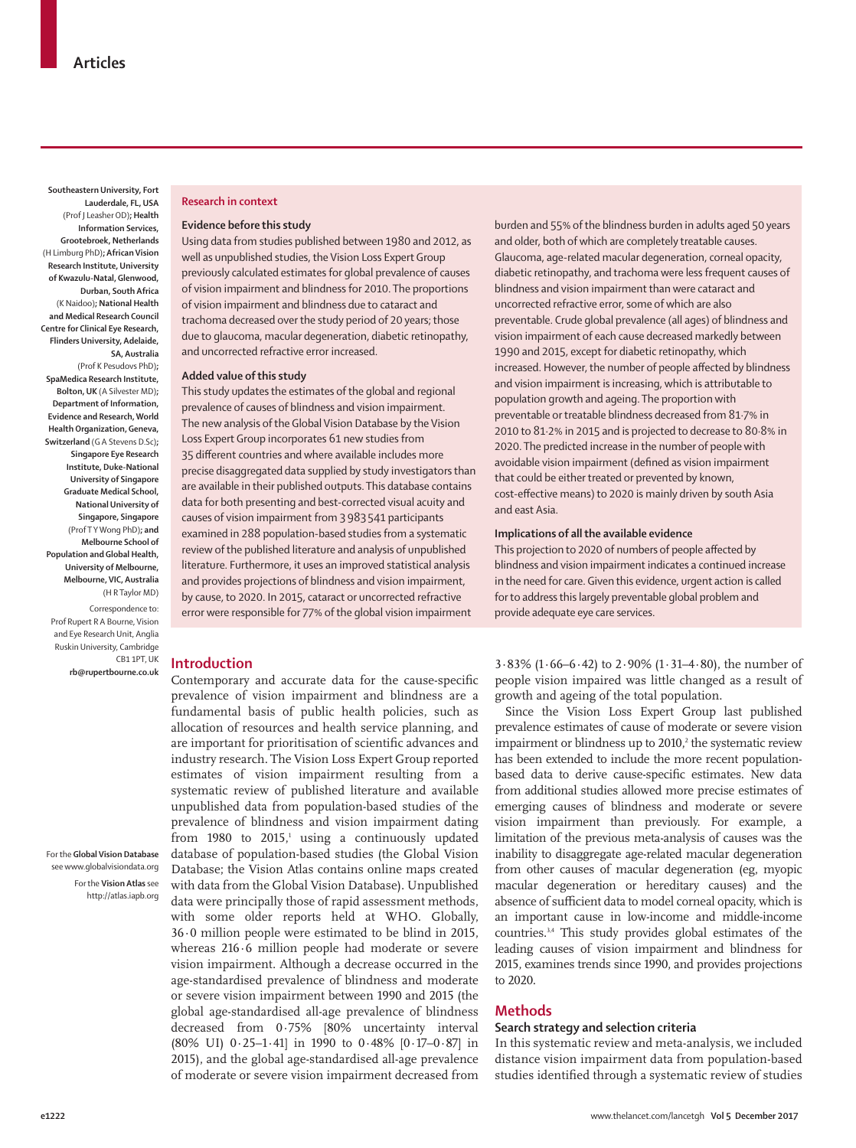**Southeastern University, Fort Lauderdale, FL, USA**  (Prof J Leasher OD)**; Health Information Services, Grootebroek, Netherlands**  (H Limburg PhD)**; African Vision Research Institute, University of Kwazulu-Natal, Glenwood, Durban, South Africa**  (K Naidoo)**; National Health and Medical Research Council Centre for Clinical Eye Research, Flinders University, Adelaide, SA, Australia**  (Prof K Pesudovs PhD)**; SpaMedica Research Institute, Bolton, UK** (A Silvester MD)**; Department of Information, Evidence and Research, World Health Organization, Geneva, Switzerland** (G A Stevens D.Sc)**; Singapore Eye Research Institute, Duke-National University of Singapore Graduate Medical School, National University of Singapore, Singapore**  (Prof T Y Wong PhD)**; and Melbourne School of Population and Global Health, University of Melbourne, Melbourne, VIC, Australia**  (H R Taylor MD)

Correspondence to: Prof Rupert R A Bourne, Vision and Eye Research Unit, Anglia Ruskin University, Cambridge CB1 1PT, UK **rb@rupertbourne.co.uk Introduction**

For the **Global Vision Database**  see www.globalvisiondata.org For the **Vision Atlas** see http://atlas.iapb.org

#### **Research in context**

#### **Evidence before this study**

Using data from studies published between 1980 and 2012, as well as unpublished studies, the Vision Loss Expert Group previously calculated estimates for global prevalence of causes of vision impairment and blindness for 2010. The proportions of vision impairment and blindness due to cataract and trachoma decreased over the study period of 20 years; those due to glaucoma, macular degeneration, diabetic retinopathy, and uncorrected refractive error increased.

#### **Added value of this study**

This study updates the estimates of the global and regional prevalence of causes of blindness and vision impairment. The new analysis of the Global Vision Database by the Vision Loss Expert Group incorporates 61 new studies from 35 different countries and where available includes more precise disaggregated data supplied by study investigators than are available in their published outputs. This database contains data for both presenting and best-corrected visual acuity and causes of vision impairment from 3983 541 participants examined in 288 population-based studies from a systematic review of the published literature and analysis of unpublished literature. Furthermore, it uses an improved statistical analysis and provides projections of blindness and vision impairment, by cause, to 2020. In 2015, cataract or uncorrected refractive error were responsible for 77% of the global vision impairment

Contemporary and accurate data for the cause-specific prevalence of vision impairment and blindness are a fundamental basis of public health policies, such as allocation of resources and health service planning, and are important for prioritisation of scientific advances and industry research. The Vision Loss Expert Group reported estimates of vision impairment resulting from a systematic review of published literature and available unpublished data from population-based studies of the prevalence of blindness and vision impairment dating from  $1980$  to  $2015$ ,<sup>1</sup> using a continuously updated database of population-based studies (t[he Global Vision](www.globalvisiondata.org) [Database](www.globalvisiondata.org); the [Vision Atlas](http://atlas.iapb.org) contains online maps created with data from the Global Vision Database). Unpublished data were principally those of rapid assessment methods, with some older reports held at WHO. Globally, 36·0 million people were estimated to be blind in 2015, whereas 216·6 million people had moderate or severe vision impairment. Although a decrease occurred in the age-standardised prevalence of blindness and moderate or severe vision impairment between 1990 and 2015 (the global age-standardised all-age prevalence of blindness decreased from 0·75% [80% uncertainty interval (80% UI) 0·25–1·41] in 1990 to 0·48% [0·17–0·87] in 2015), and the global age-standardised all-age prevalence of moderate or severe vision impairment decreased from

burden and 55% of the blindness burden in adults aged 50 years and older, both of which are completely treatable causes. Glaucoma, age-related macular degeneration, corneal opacity, diabetic retinopathy, and trachoma were less frequent causes of blindness and vision impairment than were cataract and uncorrected refractive error, some of which are also preventable. Crude global prevalence (all ages) of blindness and vision impairment of each cause decreased markedly between 1990 and 2015, except for diabetic retinopathy, which increased. However, the number of people affected by blindness and vision impairment is increasing, which is attributable to population growth and ageing. The proportion with preventable or treatable blindness decreased from 81·7% in 2010 to 81·2% in 2015 and is projected to decrease to 80·8% in 2020. The predicted increase in the number of people with avoidable vision impairment (defined as vision impairment that could be either treated or prevented by known, cost-effective means) to 2020 is mainly driven by south Asia and east Asia.

#### **Implications of all the available evidence**

This projection to 2020 of numbers of people affected by blindness and vision impairment indicates a continued increase in the need for care. Given this evidence, urgent action is called for to address this largely preventable global problem and provide adequate eye care services.

3·83% (1·66–6·42) to 2·90% (1·31–4·80), the number of people vision impaired was little changed as a result of growth and ageing of the total population.

Since the Vision Loss Expert Group last published prevalence estimates of cause of moderate or severe vision impairment or blindness up to 2010,<sup>2</sup> the systematic review has been extended to include the more recent populationbased data to derive cause-specific estimates. New data from additional studies allowed more precise estimates of emerging causes of blindness and moderate or severe vision impairment than previously. For example, a limitation of the previous meta-analysis of causes was the inability to disaggregate age-related macular degeneration from other causes of macular degeneration (eg, myopic macular degeneration or hereditary causes) and the absence of sufficient data to model corneal opacity, which is an important cause in low-income and middle-income countries.3,4 This study provides global estimates of the leading causes of vision impairment and blindness for 2015, examines trends since 1990, and provides projections to 2020.

# **Methods**

### **Search strategy and selection criteria**

In this systematic review and meta-analysis, we included distance vision impairment data from population-based studies identified through a systematic review of studies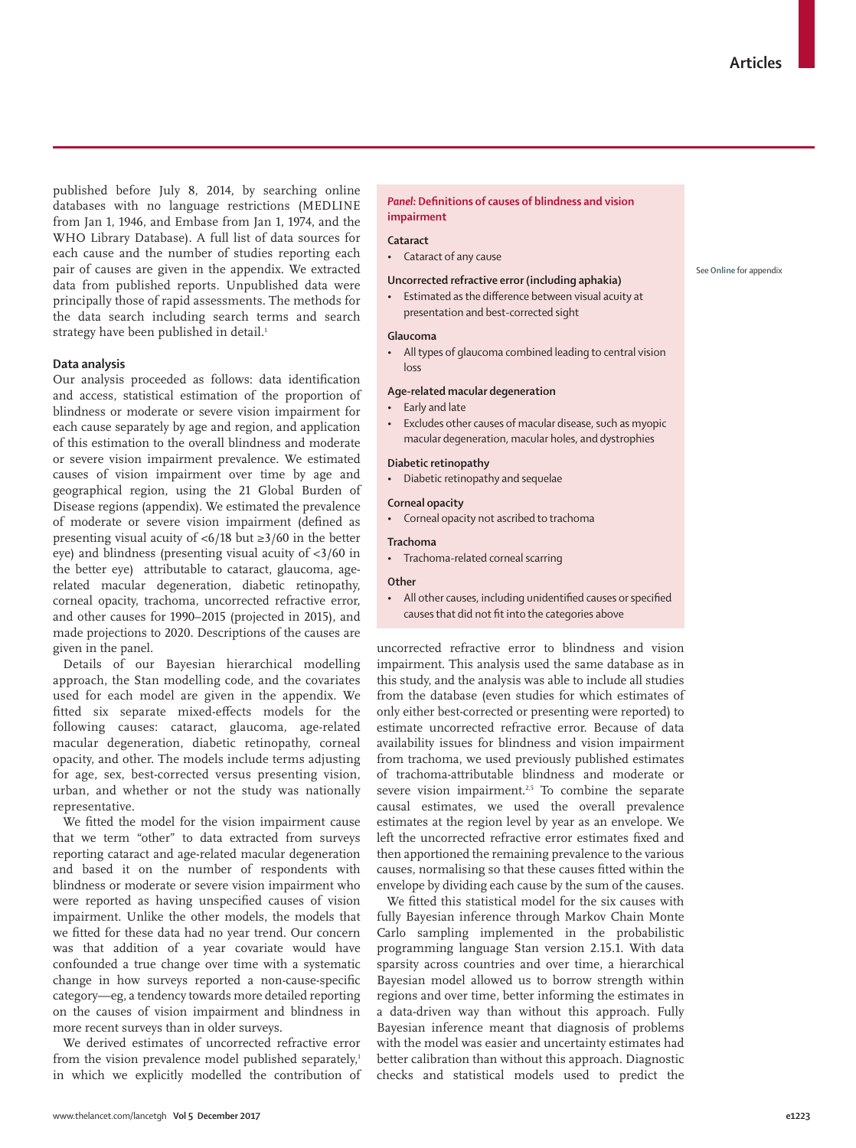published before July 8, 2014, by searching online databases with no language restrictions (MEDLINE from Jan 1, 1946, and Embase from Jan 1, 1974, and the WHO Library Database). A full list of data sources for each cause and the number of studies reporting each pair of causes are given in the appendix. We extracted data from published reports. Unpublished data were principally those of rapid assessments. The methods for the data search including search terms and search strategy have been published in detail.<sup>1</sup>

#### **Data analysis**

Our analysis proceeded as follows: data identification and access, statistical estimation of the proportion of blindness or moderate or severe vision impairment for each cause separately by age and region, and application of this estimation to the overall blindness and moderate or severe vision impairment prevalence. We estimated causes of vision impairment over time by age and geographical region, using the 21 Global Burden of Disease regions (appendix). We estimated the prevalence of moderate or severe vision impairment (defined as presenting visual acuity of <6/18 but ≥3/60 in the better eye) and blindness (presenting visual acuity of <3/60 in the better eye) attributable to cataract, glaucoma, agerelated macular degeneration, diabetic retinopathy, corneal opacity, trachoma, uncorrected refractive error, and other causes for 1990–2015 (projected in 2015), and made projections to 2020. Descriptions of the causes are given in the panel.

Details of our Bayesian hierarchical modelling approach, the Stan modelling code, and the covariates used for each model are given in the appendix. We fitted six separate mixed-effects models for the following causes: cataract, glaucoma, age-related macular degeneration, diabetic retinopathy, corneal opacity, and other. The models include terms adjusting for age, sex, best-corrected versus presenting vision, urban, and whether or not the study was nationally representative.

We fitted the model for the vision impairment cause that we term "other" to data extracted from surveys reporting cataract and age-related macular degeneration and based it on the number of respondents with blindness or moderate or severe vision impairment who were reported as having unspecified causes of vision impairment. Unlike the other models, the models that we fitted for these data had no year trend. Our concern was that addition of a year covariate would have confounded a true change over time with a systematic change in how surveys reported a non-cause-specific category—eg, a tendency towards more detailed reporting on the causes of vision impairment and blindness in more recent surveys than in older surveys.

We derived estimates of uncorrected refractive error from the vision prevalence model published separately.<sup>1</sup> in which we explicitly modelled the contribution of

# *Panel:* **Definitions of causes of blindness and vision impairment**

#### **Cataract**

• Cataract of any cause

# **Uncorrected refractive error (including aphakia)**

• Estimated as the difference between visual acuity at presentation and best-corrected sight

#### **Glaucoma**

• All types of glaucoma combined leading to central vision loss

# **Age-related macular degeneration**

- Early and late
- Excludes other causes of macular disease, such as myopic macular degeneration, macular holes, and dystrophies

# **Diabetic retinopathy**

• Diabetic retinopathy and sequelae

#### **Corneal opacity**

• Corneal opacity not ascribed to trachoma

#### **Trachoma**

• Trachoma-related corneal scarring

# **Other**

• All other causes, including unidentified causes or specified causes that did not fit into the categories above

uncorrected refractive error to blindness and vision impairment. This analysis used the same database as in this study, and the analysis was able to include all studies from the database (even studies for which estimates of only either best-corrected or presenting were reported) to estimate uncorrected refractive error. Because of data availability issues for blindness and vision impairment from trachoma, we used previously published estimates of trachoma-attributable blindness and moderate or severe vision impairment.<sup>2,5</sup> To combine the separate causal estimates, we used the overall prevalence estimates at the region level by year as an envelope. We left the uncorrected refractive error estimates fixed and then apportioned the remaining prevalence to the various causes, normalising so that these causes fitted within the envelope by dividing each cause by the sum of the causes.

We fitted this statistical model for the six causes with fully Bayesian inference through Markov Chain Monte Carlo sampling implemented in the probabilistic programming language Stan version 2.15.1. With data sparsity across countries and over time, a hierarchical Bayesian model allowed us to borrow strength within regions and over time, better informing the estimates in a data-driven way than without this approach. Fully Bayesian inference meant that diagnosis of problems with the model was easier and uncertainty estimates had better calibration than without this approach. Diagnostic checks and statistical models used to predict the

# See **Online** for appendix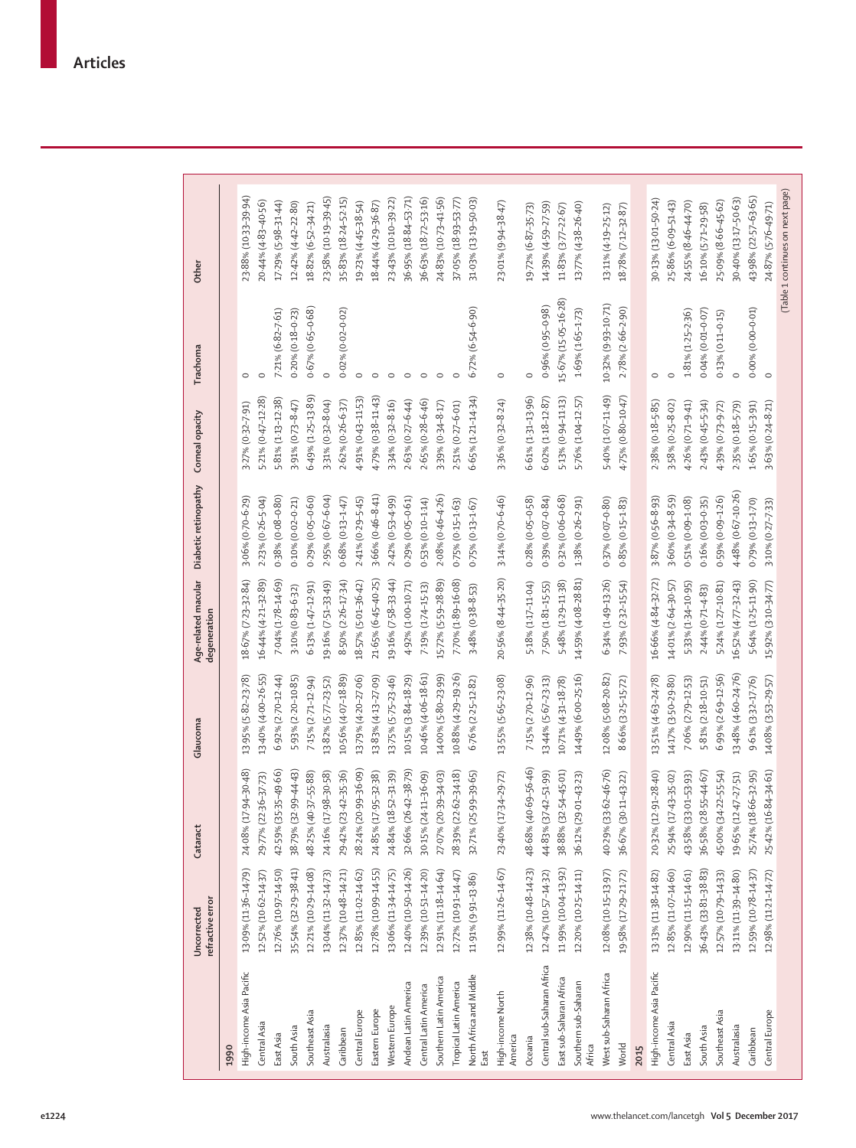|                                 | refractive error<br>Uncorrected | Cataract                    | Glaucoma                | Age-related macular<br>degeneration | Diabetic retinopathy   | Corneal opacity       | Trachoma                   | Other                |
|---------------------------------|---------------------------------|-----------------------------|-------------------------|-------------------------------------|------------------------|-----------------------|----------------------------|----------------------|
| 1990                            |                                 |                             |                         |                                     |                        |                       |                            |                      |
| High-income Asia Pacific        | 13.09% (11.36-14.79)            | 24.08% (17.94-30.48)        | 13.95% (5.82-23.78)     | 18-67% (7-23-32-84)                 | 3.06% (0.70-6.29)      | 3.27% (0.32-7.91)     | $\circ$                    | 23.88% (10.33-39.94) |
| Central Asia                    | 12-52% (10-62-14-37)            | 29-77% (22-36-37-73)        | 13.40% (4.00-26-55)     | 16.44% (4.21-32.89)                 | 2-23% (0-26-5-04)      | 5-21% (0-47-12-28)    | $\circ$                    | 20.44% (4.83-40.56)  |
| East Asia                       | 12.76% (10.97-14.50)            | 42.59% (35-35-49.66)        | $6.92\% (2.70 - 12.44)$ | 7.04% (1.78-14.69)                  | 0.38% (0.08-0.80)      | 5-81% (1-13-12-38)    | 7-21% (6-82-7-61)          | 17.29% (5.98-31.44)  |
| South Asia                      | 35-54% (32-29-38-41)            | 38-79% (32-99-44-43)        | 5.93% (2.20-10.85)      | 3.10% (0.83-6.32)                   | 0.10% (0.02-0.21)      | 3.91% (0.73-8.47)     | $0.20\% (0.18 - 0.23)$     | 12.42% (4.42-22.80)  |
| Southeast Asia                  | 12.21% (10.29-14.08)            | 48-25% (40-37-55-88)        | 7-15% (2-71-12-94)      | 6.13% (1.47-12.91)                  | 0-29% (0-05-0-60)      | 6.49% (1.25-13.89)    | $0.67\%$ ( $0.65 - 0.68$ ) | 18.82% (6-52-34.21)  |
| Australasia                     | 13.04% (11.32-14.73)            | 24.16% (17.98-30.58)        | 13.82% (5.77-23.52)     | 19.16% (7-51-33-49)                 | 2.95% (0.67-6.04)      | 3-31% (0-32-8-04)     | $\circ$                    | 23-58% (10-19-39-45) |
| Caribbean                       | 12:37% (10:48-14:21)            | 29-42% (23-42-35-36)        | 10.56% (4.07-18.89)     | 8-50% (2-26-17-34)                  | $0.68\% (0.13 - 1.47)$ | 2.62% (0.26-6.37)     | $0.02\%$ (0.02-0.02)       | 35.83% (18.24-52.15) |
| Central Europe                  | 12.85% (11.02-14.62)            | 28.24% (20.99-36.09)        | 13.79% (4.20-27.06)     | $18.57\%$ (5-01-36-42)              | 2.41% (0.29-5.45)      | 4.91% (0.43-11.53)    | $\circ$                    | 19.23% (4.45-38-54)  |
| Eastern Europe                  | 12.78% (10.99-14.55)            | 24.85% (17.95-32.38)        | 13.83% (4.13-27.09)     | 21-65% (6-45-40-25)                 | 3.66% (0.46-8.41)      | 4.79% (0.38-11.43)    | $\circ$                    | 18-44% (4-29-36-87)  |
| Western Europe                  | 13.06% (11.34-14.75)            | 24.84% (18.52-31.39)        | 13.75% (5-75-23-46)     | 19.16% (7-58-33-44)                 | 2.42% (0.53-4.99)      | 3-34% (0-32-8-16)     | $\circ$                    | 23-43% (10-10-39-22) |
| Andean Latin America            | 12.40% (10.50-14.26)            | 32.66% (26.42-38.79)        | 10.15% (3.84-18.29)     | 4.92% (1.00-10.71)                  | 0.29% (0.05-0.61)      | 2.63% (0.27-6.44)     | $\circ$                    | 36.95% (18.84-53.71) |
| Central Latin America           | 12-39% (10-51-14-20)            | 30.15% (24.11-36.09)        | 10-46% (4-06-18-61)     | 7.19% (1.74-15.13)                  | 0.53% (0.10-1.14)      | 2.65% (0.28-6.46)     | $\circ$                    | 36-63% (18-72-53-16) |
| Southern Latin America          | 12-91% (11-18-14-64)            | 27.07% (20-39-34-03)        | 14.00% (5.80-23.99)     | 15-72% (5-59-28-89)                 | 2.08% (0.46-4.26)      | 3-39% (0-34-8-17)     | $\circ$                    | 24.83% (10.73-41.56) |
| Tropical Latin America          | 12-72% (10-91-14-47)            | 28-39% (22-62-34-18)        | 10.88% (4.29-19.26)     | 7-70% (1-89-16-08)                  | 0-75% (0-15-1-63)      | 2-51% (0-27-6-01)     | $\circ$                    | 37.05% (18.93-53.77) |
| North Africa and Middle<br>East | 11-91% (9-91-13-86)             | 32-71% (25-99-39-65)        | $6.76\% (2.25 - 12.82)$ | 3-48% (0-38-8-53)                   | 0-75% (0-13-1-67)      | 6.65% (1.21-14:34)    | 6-72% (6-54-6-90)          | 31-03% (13-19-50-03) |
| High-income North<br>America    | 12.99% (11.26-14.67)            | 23.40% (17.34-29.72)        | 13-55% (5-65-23-08)     | 20-56% (8-44-35-20)                 | 3.14% (0.70-6.46)      | 3.36% (0.32-8.24)     | $\circ$                    | 23.01% (9.94-38.47)  |
| Oceania                         | 12.38% (10.48-14.23)            | 48-68% (40-69-56-46)        | 7.15% (2.70-12.96)      | 5.18% (1.17-11.04)                  | $0.28\% (0.05 - 0.58)$ | $6.61\%$ (1.31-13.96) | $\circ$                    | 19-72% (6-87-35-73)  |
| Central sub-Saharan Africa      | 12-47% (10-57-14-32)            | 44.83% (37.42-51.99)        | 13-44% (5-67-23-13)     | 7.50% (1.81-15.55)                  | 0-39% (0-07-0-84)      | $6.02\%$ (1.18-12-87) | 0.96% (0.95-0.98)          | 14-39% (4-59-27-59)  |
| East sub-Saharan Africa         | 11.99% (10.04-13.92)            | 38.88% (32.54-45.01)        | 10.71% (4-31-18.78)     | 5-48% (1-29-11-38)                  | 0-32% (0-06-0-68)      | 5.13% (0.94-11.13)    | 15.67% (15.05-16.28)       | 11.83% (3:77-22-67)  |
| Southern sub-Saharan<br>Africa  | 12.20% (10.25-14.11)            | 36.12% (29.01-43.23)        | 14.49% (6.00-25.16)     | 14-59% (4-08-28-81)                 | 1-38% (0-26-2-91)      | 5-76% (1-04-12-57)    | $1.69\% (1.65 - 1.73)$     | 13-77% (4-38-26-40)  |
| West sub-Saharan Africa         | 12.08% (10.15-13.97)            | 40-29% (33-62-46-76)        | 12.08% (5.08-20.82)     | 6-34% (1-49-13-26)                  | 0.37% (0.07-0.80)      | 5-40% (1-07-11-49)    | 10-32% (9-93-10-71)        | 13.11% (4.19-25.12)  |
| World                           | 19-58% (17-29-21-72)            | $11 - 43.22$<br>36.67% (30. | 8-66% (3-25-15-72)      | 7-93% (2-32-15-54)                  | $0.85\% (0.15 - 1.83)$ | 4-75% (0-80-10-47)    | 2.78% (2.66-2.90)          | 18-78% (7.12-32-87)  |
| 2015                            |                                 |                             |                         |                                     |                        |                       |                            |                      |
| High-income Asia Pacific        | 13:13% (11:38-14:82)            | 20-32% (12-91-28-40)        | 13.51% (4.63-24.78)     | 16.66% (4.84-32.72)                 | 3-87% (0-56-8-93)      | 2.38% (0.18-5.85)     | $\circ$                    | 30.13% (13.01-50.24) |
| Central Asia                    | 12.85% (11.07-14.60)            | 25-94% (17-43-35-02)        | 14-17% (3-50-29-80)     | 14-01% (2-64-30-57)                 | 3.60% (0.34-8.59)      | 3-58% (0.25-8.02)     | $\circ$                    | 25.86% (6.09-51.43)  |
| East Asia                       | 12.90% (11.15-14.61)            | 43-58% (33-01-53-93)        | 7.06% (2.79-12.53)      | 5-33% (1-34-10-95)                  | $0.51\% (0.09 - 1.08)$ | 4.26% (0.71-9.41)     | 1.81% (1.25-2.36)          | 24-55% (8-46-44-70)  |
| South Asia                      | 36-43% (33-81-38-83)            | 36-58% (28-55-44-67)        | 5-81% (2-18-10-51)      | 2.44% (0.71-4.83)                   | $0.16\% (0.03 - 0.35)$ | 2.43% (0.45-5.34)     | $0.04\%$ (0.01-0.07)       | 16-10% (5-71-29-58)  |
| Southeast Asia                  | 12-57% (10-79-14-33)            | 45.00% (34.22-55.54)        | $6.99\% (2.69 - 12.56)$ | 5.24% (1.27-10-81)                  | $0.59\% (0.09 - 1.26)$ | 4-39% (0-73-9-72)     | 0.13% (0.11-0.15)          | 25.09% (8.66-45.62)  |
| Australasia                     | 13:11% (11:39-14:80)            | 19.65% (12.47-27.51)        | 13.48% (4.60-24.76)     | 16-52% (4-77-32-43)                 | 4.48% (0.67-10.26)     | 2.35% (0.18-5.79)     | $\circ$                    | 30-40% (13-17-50-63) |
| Caribbean                       | 12.59% (10.78-14.37)            | 25-74% (18-66-32-95)        | 9.61% (3.32-17.76)      | 5.64% (1.25-11.90)                  | 0-79% (0-13-1-70)      | 1.65% (0.15-3.91)     | 0.00% (0.00-0.01)          | 43.98% (22.57-63.65) |
| Central Europe                  | 12.98% (11.21-14.72)            |                             |                         |                                     |                        |                       |                            |                      |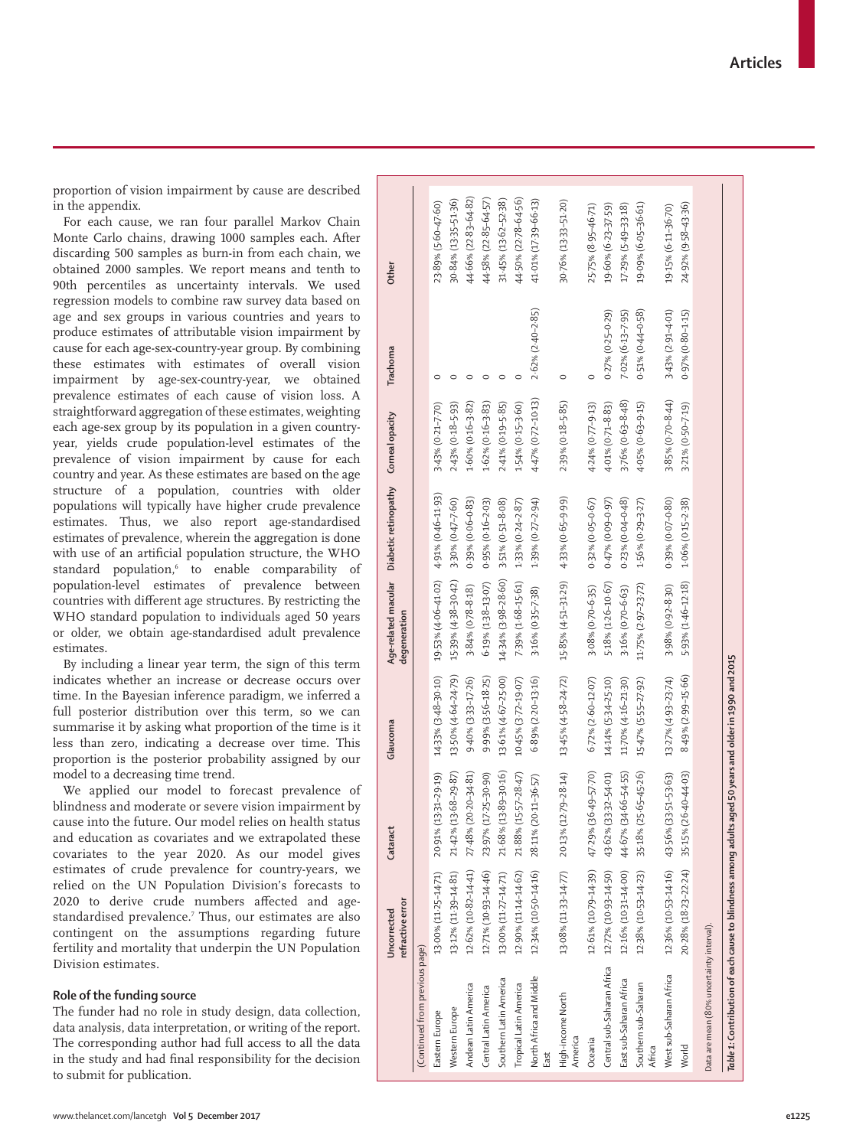proportion of vision impairment by cause are described in the appendix.

For each cause, we ran four parallel Markov Chain Monte Carlo chains, drawing 1000 samples each. After discarding 500 samples as burn-in from each chain, we obtained 2000 samples. We report means and tenth to 90th percentiles as uncertainty intervals. We used regression models to combine raw survey data based on age and sex groups in various countries and years to produce estimates of attributable vision impairment by cause for each age-sex-country-year group. By combining these estimates with estimates of overall vision impairment by age-sex-country-year, we obtained prevalence estimates of each cause of vision loss. A straightforward aggregation of these estimates, weighting each age-sex group by its population in a given countryyear, yields crude population-level estimates of the prevalence of vision impairment by cause for each country and year. As these estimates are based on the age structure of a population, countries with older populations will typically have higher crude prevalence estimates. Thus, we also report age-standardised estimates of prevalence, wherein the aggregation is done with use of an artificial population structure, the WHO standard population, 6 to enable comparability of population-level estimates of prevalence between countries with different age structures. By restricting the WHO standard population to individuals aged 50 years or older, we obtain age-standardised adult prevalence estimates.

By including a linear year term, the sign of this term indicates whether an increase or decrease occurs over time. In the Bayesian inference paradigm, we inferred a full posterior distribution over this term, so we can summarise it by asking what proportion of the time is it less than zero, indicating a decrease over time. This proportion is the posterior probability assigned by our model to a decreasing time trend.

We applied our model to forecast prevalence of blindness and moderate or severe vision impairment by cause into the future. Our model relies on health status and education as covariates and we extrapolated these covariates to the year 2020. As our model gives estimates of crude prevalence for country-years, we relied on the UN Population Division's forecasts to 2020 to derive crude numbers affected and agestandardised prevalence.7 Thus, our estimates are also contingent on the assumptions regarding future fertility and mortality that underpin the UN Population Division estimates.

## **Role of the funding source**

The funder had no role in study design, data collection, data analysis, data interpretation, or writing of the report. The corresponding author had full access to all the data in the study and had final responsibility for the decision to submit for publication.

|                                                                                                        | refractive error<br>Uncorrected | Cataract                                  | Glaucoma                  | degeneration                           | Age-related macular Diabetic retinopathy Corneal opacity |                      | Trachoma               | Other                |
|--------------------------------------------------------------------------------------------------------|---------------------------------|-------------------------------------------|---------------------------|----------------------------------------|----------------------------------------------------------|----------------------|------------------------|----------------------|
| (Continued from previous page)                                                                         |                                 |                                           |                           |                                        |                                                          |                      |                        |                      |
| Eastern Europe                                                                                         | 13.00% (11.25-14.71)            | 20.91% (13:31-29:19)                      | 14-33% (3-48-30-10)       | 19-53% (4-06-41-02) 4-91% (0.46-11-93) |                                                          | 3.43% (0.21-7.70)    | 0                      | 23.89% (5.60-47.60)  |
| Western Europe                                                                                         | 13:12% (11:39-14-81)            | 21-42% (13-68-29-87)                      | 13.50% (4.64-24.79)       | 15-39% (4-38-30-42)                    | 3-30% (0-47-7-60)                                        | 2-43% (0-18-5-93)    |                        | 30.84% (13.35-51.36) |
| Andean Latin America                                                                                   | 12.62% (10.82-14.41)            | 27.48% (20.20-34.81)                      | $9.40\%$ $(3.33 - 17.26)$ | 3.84% (0.78-8.18)                      | 0.39% (0.06-0.83)                                        | 1.60% (0.16-3.82)    |                        | 44.66% (22.83-64.82) |
| Central Latin America                                                                                  | 12.71% (10.93-14.46)            | 23.97% (17.25-30.90)                      | 9.99% (3.56-18.25)        | $6.19\%$ $(1.38 - 13.07)$              | 0.95% (0.16-2.03)                                        | $1.62\%$ (0.16-3.83) |                        | 44-58% (22-85-64-57) |
| Southern Latin America                                                                                 | 13.00% (11.27-14-71)            | 21.68% (13.89-30.16)                      | 13.61% (4.67-25.00)       | 14:34% (3:98-28:60)                    | 3-51% (0-51-8-08)                                        | 2.41% (0.19-5.85)    |                        | 31-45% (13-62-52-38) |
| Tropical Latin America                                                                                 | 12.90% (11.14-14-62)            | 21.88% (15.57-28.47)                      | 10-45% (3-72-19-07)       | 7-39% (1-68-15-61)                     | 1.33% (0.24-2.87)                                        | 1.54% (0.15-3.60)    |                        | 44.50% (22.78-64.56) |
| North Africa and Middle<br>East                                                                        |                                 | 12.34% (10.50-14.16) 28.11% (20.11-36.57) | $6.89\%$ (2.20-13.16)     | 3.16% (0.35-7.38)                      | 1.39% (0.27-2.94)                                        | 4.47% (0.72-10.13)   | 2.62% (2.40-2.85)      | 41.01% (17.39-66.13) |
| High-income North<br>America                                                                           |                                 | 13.08% (11.33-1477) 20.13% (12.79-28.14)  | 13-45% (4-58-24-72)       | 15.85% (4.51-31.29) 4.33% (0.65-9.99)  |                                                          | 2.39% (0.18-5.85)    | $\circ$                | 30.76% (13.33-51.20) |
| Oceania                                                                                                |                                 | 12.61% (10.79-14-39) 47.29% (36-49-57.70) | 6-72% (2-60-12-07)        | 3.08% (0.70-6.35)                      | 0.32% (0.05-0.67)                                        | 4.24% (0.77-9.13)    | c                      | 25-75% (8-95-46-71)  |
| Central sub-Saharan Africa                                                                             | 12-72% (10-93-14-50)            | 43.62% (33.32-54.01)                      | 14.14% (5.34-25.10)       | 5.18% (1.26-10.67)                     | 0.47% (0.09-0.97)                                        | 4.01% (0.71-8.83)    | $0.27\%$ (0.25-0.29)   | 19.60% (6.23-37.59)  |
| East sub-Saharan Africa                                                                                | 12:16% (10:31-14:00)            | 44-67% (34-66-54-55)                      | 11.70% (4.16-21.30)       | 3.16% (0.70-6.63)                      | $0.23\%$ (0-04-0.48)                                     | 3.76% (0.63-8.48)    | 7.02% (6.13-7.95)      | 17-29% (5-49-33-18)  |
| Southern sub-Saharan<br>Africa                                                                         | 12.38% (10.53-14.23)            | 35.18% (25.65-45.26)                      | 15.47% (5.55-27.92)       | 11-75% (2-97-23-72)                    | 1.56% (0.29-3.27)                                        | 4.05% (0.63-9.15)    | $0.51\% (0.44 - 0.58)$ | 19.09% (6.05-36.61)  |
| West sub-Saharan Africa                                                                                |                                 | 12-36% (10-53-14-16) 43-56% (33-51-53-63) | 13.27% (4.93-23.74)       | 3.98% (0.92-8.30)                      | 0.39% (0.07-0.80)                                        | 3-85% (0-70-8-44)    | 3.43% (2.91-4.01)      | 19-15% (6-11-36-70)  |
| World                                                                                                  | 20.28% (18.23-22.24)            | 35.15% (26.40-44.03)                      | 8.49% (2.99-15.66)        | 5.93% (1-46-12-18)                     | $1.06\%$ (0.15-2.38)                                     | 3.21% (0.50-7.19)    | $0.97\%$ (0.80-1.15)   | 24.92% (9.58-43.36)  |
| Data are mean (80% uncertainty interval).                                                              |                                 |                                           |                           |                                        |                                                          |                      |                        |                      |
| Table 1: Contribution of each cause to blindness among adults aged 50 years and older in 1990 and 2015 |                                 |                                           |                           |                                        |                                                          |                      |                        |                      |
|                                                                                                        |                                 |                                           |                           |                                        |                                                          |                      |                        |                      |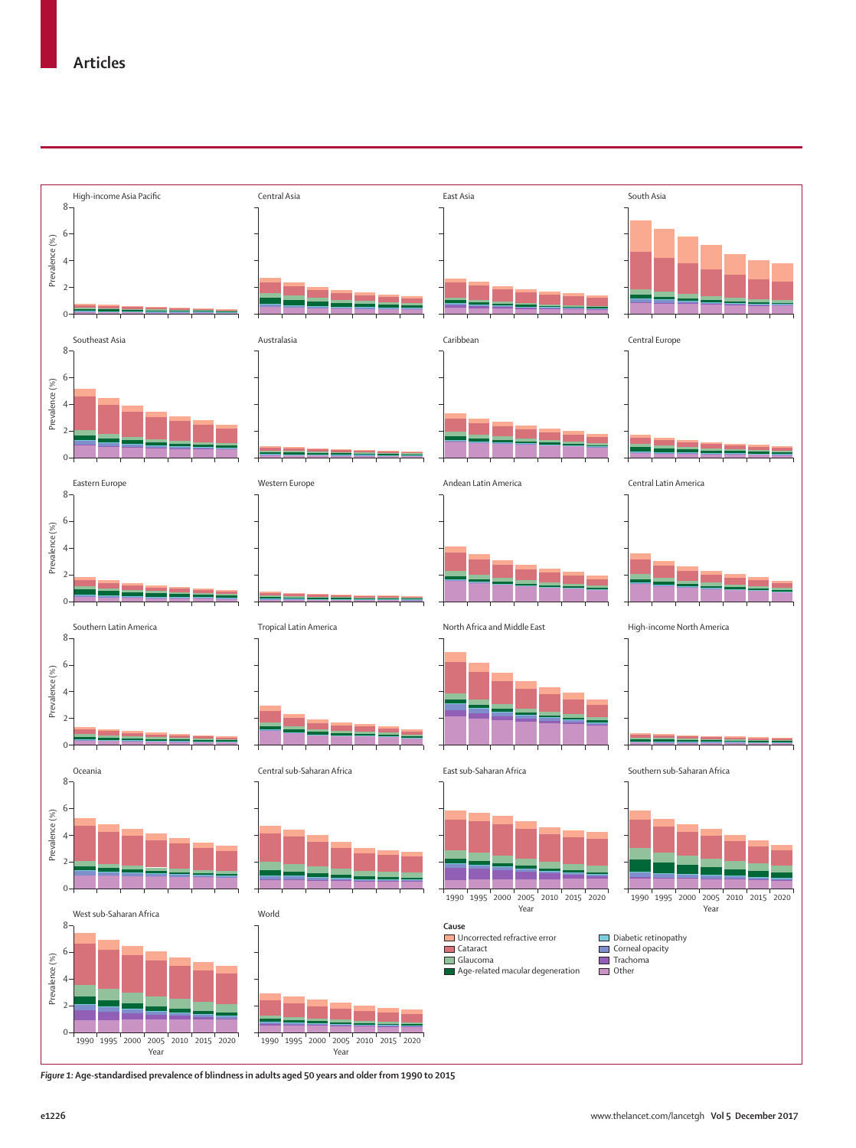

*Figure 1:* **Age-standardised prevalence of blindness in adults aged 50 years and older from 1990 to 2015**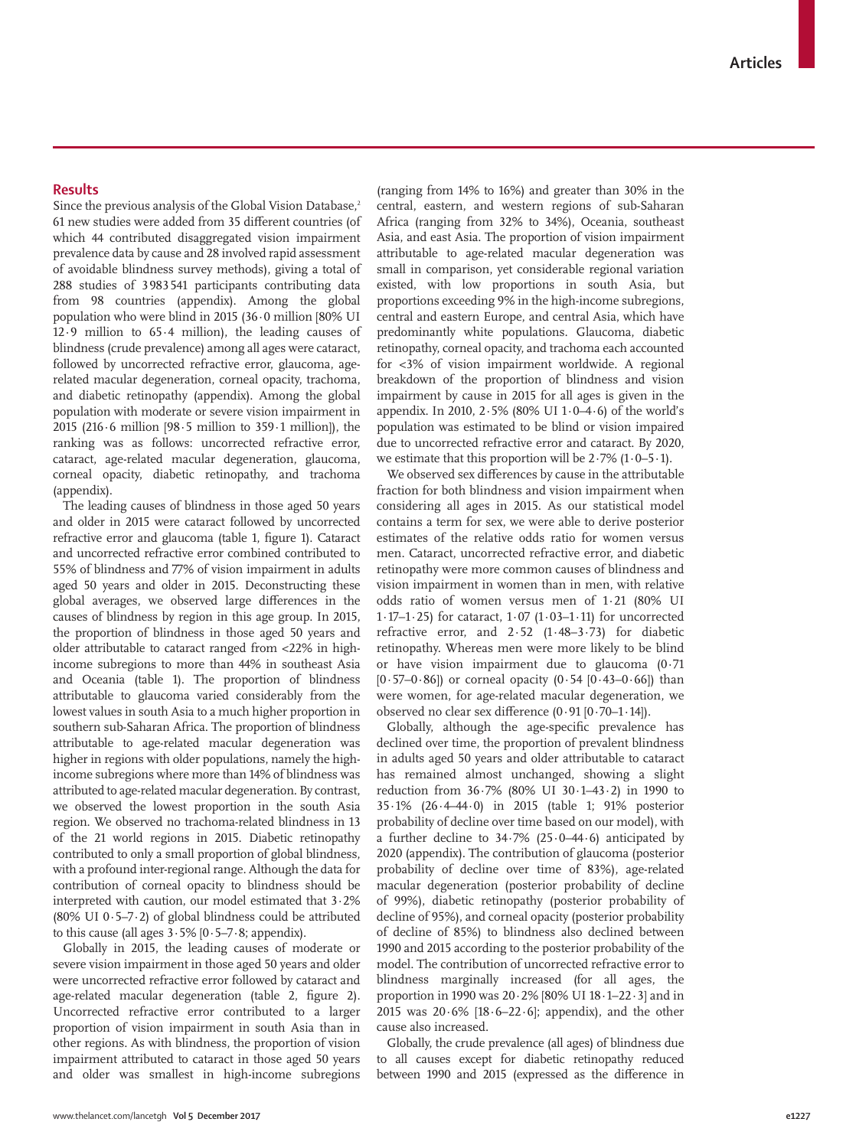# **Results**

Since the previous analysis of the Global Vision Database,<sup>2</sup> 61 new studies were added from 35 different countries (of which 44 contributed disaggregated vision impairment prevalence data by cause and 28 involved rapid assessment of avoidable blindness survey methods), giving a total of 288 studies of 3983541 participants contributing data from 98 countries (appendix). Among the global population who were blind in 2015 (36·0 million [80% UI 12·9 million to 65·4 million), the leading causes of blindness (crude prevalence) among all ages were cataract, followed by uncorrected refractive error, glaucoma, agerelated macular degeneration, corneal opacity, trachoma, and diabetic retinopathy (appendix). Among the global population with moderate or severe vision impairment in 2015 (216·6 million [98·5 million to 359·1 million]), the ranking was as follows: uncorrected refractive error, cataract, age-related macular degeneration, glaucoma, corneal opacity, diabetic retinopathy, and trachoma (appendix).

The leading causes of blindness in those aged 50 years and older in 2015 were cataract followed by uncorrected refractive error and glaucoma (table 1, figure 1). Cataract and uncorrected refractive error combined contributed to 55% of blindness and 77% of vision impairment in adults aged 50 years and older in 2015. Deconstructing these global averages, we observed large differences in the causes of blindness by region in this age group. In 2015, the proportion of blindness in those aged 50 years and older attributable to cataract ranged from <22% in highincome subregions to more than 44% in southeast Asia and Oceania (table 1). The proportion of blindness attributable to glaucoma varied considerably from the lowest values in south Asia to a much higher proportion in southern sub-Saharan Africa. The proportion of blindness attributable to age-related macular degeneration was higher in regions with older populations, namely the highincome subregions where more than 14% of blindness was attributed to age-related macular degeneration. By contrast, we observed the lowest proportion in the south Asia region. We observed no trachoma-related blindness in 13 of the 21 world regions in 2015. Diabetic retinopathy contributed to only a small proportion of global blindness, with a profound inter-regional range. Although the data for contribution of corneal opacity to blindness should be interpreted with caution, our model estimated that 3·2% (80% UI 0 $-5$ –7 $-2$ ) of global blindness could be attributed to this cause (all ages  $3.5\%$  [0 $.5-7.8$ ; appendix).

Globally in 2015, the leading causes of moderate or severe vision impairment in those aged 50 years and older were uncorrected refractive error followed by cataract and age-related macular degeneration (table 2, figure 2). Uncorrected refractive error contributed to a larger proportion of vision impairment in south Asia than in other regions. As with blindness, the proportion of vision impairment attributed to cataract in those aged 50 years and older was smallest in high-income subregions (ranging from 14% to 16%) and greater than 30% in the central, eastern, and western regions of sub-Saharan Africa (ranging from 32% to 34%), Oceania, southeast Asia, and east Asia. The proportion of vision impairment attributable to age-related macular degeneration was small in comparison, yet considerable regional variation existed, with low proportions in south Asia, but proportions exceeding 9% in the high-income subregions, central and eastern Europe, and central Asia, which have predominantly white populations. Glaucoma, diabetic retinopathy, corneal opacity, and trachoma each accounted for <3% of vision impairment worldwide. A regional breakdown of the proportion of blindness and vision impairment by cause in 2015 for all ages is given in the appendix. In 2010, 2·5% (80% UI 1·0–4·6) of the world's population was estimated to be blind or vision impaired due to uncorrected refractive error and cataract. By 2020, we estimate that this proportion will be  $2.7\%$  (1.0–5.1).

We observed sex differences by cause in the attributable fraction for both blindness and vision impairment when considering all ages in 2015. As our statistical model contains a term for sex, we were able to derive posterior estimates of the relative odds ratio for women versus men. Cataract, uncorrected refractive error, and diabetic retinopathy were more common causes of blindness and vision impairment in women than in men, with relative odds ratio of women versus men of 1·21 (80% UI 1·17–1·25) for cataract, 1·07 (1·03–1·11) for uncorrected refractive error, and 2·52 (1·48–3·73) for diabetic retinopathy. Whereas men were more likely to be blind or have vision impairment due to glaucoma (0·71  $[0.57-0.86]$  or corneal opacity  $(0.54 \; [0.43-0.66])$  than were women, for age-related macular degeneration, we observed no clear sex difference (0·91 [0·70–1·14]).

Globally, although the age-specific prevalence has declined over time, the proportion of prevalent blindness in adults aged 50 years and older attributable to cataract has remained almost unchanged, showing a slight reduction from 36·7% (80% UI 30·1–43·2) in 1990 to 35·1% (26·4–44·0) in 2015 (table 1; 91% posterior probability of decline over time based on our model), with a further decline to 34·7% (25·0–44·6) anticipated by 2020 (appendix). The contribution of glaucoma (posterior probability of decline over time of 83%), age-related macular degeneration (posterior probability of decline of 99%), diabetic retinopathy (posterior probability of decline of 95%), and corneal opacity (posterior probability of decline of 85%) to blindness also declined between 1990 and 2015 according to the posterior probability of the model. The contribution of uncorrected refractive error to blindness marginally increased (for all ages, the proportion in 1990 was 20·2% [80% UI 18·1–22·3] and in 2015 was  $20.6\%$  [18.6–22.6]; appendix), and the other cause also increased.

Globally, the crude prevalence (all ages) of blindness due to all causes except for diabetic retinopathy reduced between 1990 and 2015 (expressed as the difference in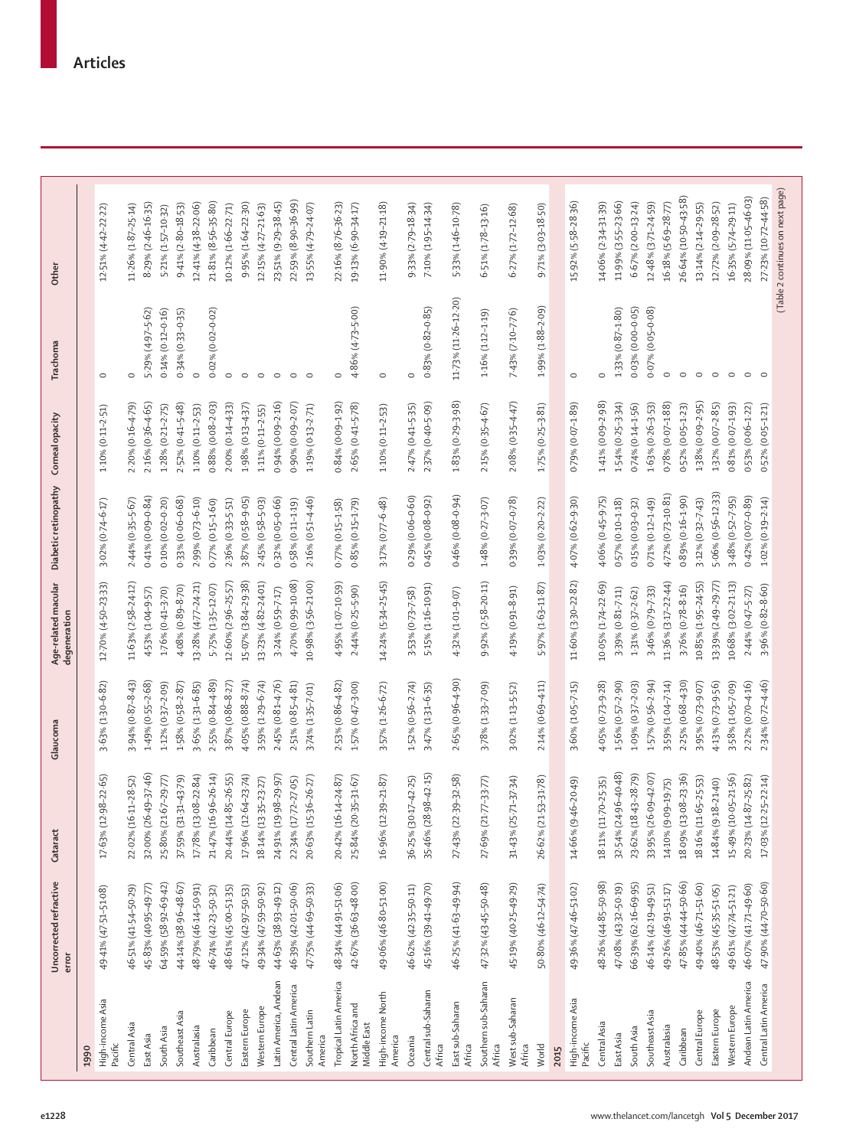| (Table 2 continues on next page)<br>26-64% (10-50-43-58)<br>28.09% (11.05-46.03)<br>27.23% (10.72-44.58)<br>22-59% (8-90-36-99)<br>15.92% (5.58-28.36)<br>11.99% (3.55-23.66)<br>$12.41\% (4.38 - 22.06)$<br>21.81% (8.56-35.80)<br>23-51% (9-29-38-45)<br>13-55% (4-79-24-07)<br>22.16% (8.76-36.23)<br>$11.90\% (4.19 - 21.18)$<br>9-33% (2-79-18-34)<br>14.06% (2.34-31.39)<br>$6.67\%$ (2.00-13.24)<br>12.48% (3.71-24.59)<br>16.18% (5.69-28.77)<br>12.72% (2.09-28.52)<br>11-26% (1-87-25-14)<br>8-29% (2-46-16-35)<br>9-41% (2-80-18-53)<br>9.95% (1.64-22.30)<br>19.13% (6.90-34.17)<br>7.10% (1.95-14-34)<br>5-33% (1-46-10-78)<br>13:14% (2:14-29:55)<br>16.35% (5-74-29-11)<br>12.51% (4.42-22.22)<br>9-71% (3-03-18-50)<br>10.12% (1.66-22.71)<br>12.15% (4.27-21.63)<br>6-27% (1-72-12-68)<br>5-21% (1-57-10-32)<br>$6 - 51\% (1 - 78 - 13 - 16)$<br>11-73% (11-26-12-20)<br>4.86% (4.73-5.00)<br>$0.83\%$ ( $0.82-0.85$ )<br>1.99% (1.88-2.09)<br>0.03% (0.00-0.05)<br>0.07% (0.05-0.08)<br>5.29% (4.97-5.62)<br>$0.02\% (0.02 - 0.02)$<br>7.43% (7.10-7.76)<br>1-33% (0.87-1.80)<br>$0.14\%$ (0.12-0.16)<br>0-34% (0-33-0-35)<br>1.16% (1.12-1.19)<br>$\circ$<br>$\circ$<br>$\circ$<br>$\circ$<br>$\circ$<br>$\circ$<br>$\circ$<br>$\circ$<br>$\circ$<br>$\circ$<br>$\circ$<br>$\circ$<br>$\circ$<br>$\circ$<br>$\circ$<br>$\circ$<br>$\circ$<br>$\circ$<br>$\circ$<br>$\circ$<br>$\circ$<br>1.83% (0.29-3.98)<br>1.41% (0.09-2.98)<br>$0.88\%$ (0.08-2.03)<br>$2.08\%$ (0.35-4.47)<br>1-38% (0-09-2-95)<br>2.16% (0.36-4.65)<br>0.94% (0.09-2.16)<br>$0.90\% (0.09 - 2.07)$<br>0.84% (0.09-1.92)<br>$2.65\%$ (0.41-5.78)<br>2-37% (0-40-5-09)<br>$1.75\% (0.25-3.81)$<br>0.79% (0.07-1.89)<br>1.54% (0.25-3.34)<br>$1.32\% (0.07 - 2.85)$<br>$0.52\% (0.05 - 1.21)$<br>2.20% (0.16-4.79)<br>2.52% (0.41-5.48)<br>2.00% (0.14-4.33)<br>$1.98\%$ (0.13-4.37)<br>2.47% (0.41-5.35)<br>2.15% (0.35-4.67)<br>0-74% (0-14-1-56)<br>1.63% (0.26-3.53)<br>$0.78\%$ (0.07-1.88)<br>$0.52\% (0.05 - 1.23)$<br>$0.81\% (0.07 - 1.93)$<br>$0.53\% (0.06 - 1.22)$<br>$1.28\%$ (0.21-2.75)<br>1.10% (0.11-2.53)<br>$1.19\% (0.13 - 2.71)$<br>$1.11\% (0.11 - 2.55)$<br>1.10% (0.11-2.53)<br>$1.10\%$ (0.11-2.51)<br>5-06% (0-56-12-33)<br>4.72% (0.73-10.81)<br>0.46% (0.08-0.94)<br>$0.29\%$ (0.06-0.60)<br>$0.89\%$ ( $0.16 - 1.90$ )<br>0.45% (0.08-0.92)<br>3.48% (0.52-7.95)<br>$0.42\% (0.07 - 0.89)$<br>$0.41\% (0.09 - 0.84)$<br>4.07% (0.62-9.30)<br>$1.02\%$ (0.19-2.14)<br>0-33% (0-06-0-68)<br>3-87% (0-58-9-05)<br>2-45% (0-58-5-03)<br>0-32% (0-05-0-66)<br>2.16% (0.51-4.46)<br>0.39% (0.07-0.78)<br>4.06% (0.45-9.75)<br>3.12% (0.32-7.43)<br>2.44% (0.35-5.67)<br>$0.10\%$ (0.02-0.20)<br>2.99% (0.73-6.10)<br>2.36% (0.33-5.51)<br>3.17% (0.77-6.48)<br>1.48% (0.27-3.07)<br>1.03% (0.20-2.22)<br>$0.15\% (0.03 - 0.32)$<br>$0.71\%$ ( $0.12-1.49$ )<br>$0.77\%$ (0.15-1.60)<br>$0.58\%$ ( $0.11 - 1.19$ )<br>$0.85\%$ ( $0.15 - 1.79$ )<br>0-57% (0-10-1-18)<br>$3.02\% (0.74 - 6.17)$<br>$0.77\%$ ( $0.15 - 1.58$ )<br>13.23% (4.82-24.01)<br>4.70% (0.99-10.08)<br>10.98% (3.56-21.00)<br>11.60% (3:30-22-82)<br>12.60% (2.96-25.57)<br>14.24% (5.34-25.45)<br>9-92% (2-58-20-11)<br>5-97% (1-63-11-87)<br>10.05% (1.74-22.69)<br>$11.36\%$ $(3.17-22.44)$<br>13.39% (2.49-29.77)<br>$10.68\%$ (3.02-21.13)<br>15-07% (3-84-29-38)<br>4.95% (1.07-10.59)<br>$10.85\% (1.95 - 24.55)$<br>12.70% (4.50-23.33)<br>11-63% (2-58-24-12)<br>$3.28\% (4.77 - 24.21)$<br>5-75% (1-35-12-07)<br>5-15% (1-16-10-91)<br>3.96% (0.82-8.60)<br>4.08% (0.89-8.70)<br>3-46% (0-79-7-33)<br>3-76% (0-78-8-16)<br>2-44% (0-25-5-90)<br>4.19% (0.91-8.91)<br>1.76% (0.41-3.70)<br>3-24% (0-59-7-17)<br>2.44% (0.47-5.27)<br>4.53% (1.04-9.57)<br>3-53% (0.73-7-58)<br>3-39% (0-81-7-11)<br>1-31% (0-37-2-62)<br>4-32% (1-01-9-07)<br>2.65% (0.96-4.90)<br>2.55% (0.84-4.89)<br>2.34% (0.72-4.46)<br>3.94% (0.87-8.43)<br>3-87% (0-86-8-27)<br>4.05% (0.88-8.74)<br>2.45% (0.81-4.76)<br>2-53% (0-86-4-82)<br>$2.14\%$ (0.69-4.11)<br>4.05% (0.73-9.28)<br>1.56% (0.57-2.90)<br>1.57% (0.56-2.94)<br>3-59% (1-04-7-14)<br>2.25% (0.68-4.30)<br>3.63% (1.30-6.82)<br>1.49% (0.55-2.68)<br>3.59% (1.29-6.74)<br>$2.51\% (0.85 - 4.81)$<br>1.09% (0.37-2.03)<br>3.95% (0.73-9.07)<br>4.13% (0.73-9.56)<br>3-58% (1-05-7-09)<br>2.22% (0.70-4.16)<br>1.58% (0.58-2.87)<br>3-65% (1-31-6-85)<br>1-57% (0-47-3-00)<br>1-52% (0-56-2-74)<br>3-78% (1-33-7-09)<br>1.12% (0.37-2.09)<br>3-57% (1-26-6-72)<br>3.60% (1.05-7.15)<br>3-74% (1-35-7-01)<br>3.47% (1.31-6.35)<br>3.02% (1.13-5.52)<br>32.00% (26.49-37.46)<br>17.78% (13.08-22.84)<br>21-47% (16-96-26-14)<br>20-44% (14-85-26-55)<br>35.46% (28.98-42.15)<br>32-54% (24-96-40-48)<br>23.62% (18.43-28.79)<br>18.09% (13.08-23.36)<br>15-49% (10-05-21-56)<br>17-63% (12-98-22-65)<br>17.96% (12.64-23.74)<br>24.91% (19.98-29.97)<br>33.95% (26.09-42.07)<br>20-42% (16-14-24-87)<br>16-96% (12-39-21-87)<br>27-43% (22-39-32-58)<br>26.62% (21.53-31.78)<br>18.16% (11.65-25.53)<br>20.23% (14.87-25.82)<br>17.03% (12.25-22.14)<br>25.80% (21.67-29.77)<br>37-59% (31-31-43-79)<br>20.63% (15.36-26.27)<br>25-84% (20-35-31-67)<br>36-25% (30-17-42-25)<br>27-69% (21-77-33-77)<br>18:14% (13:35-23:27)<br>31-43% (25-71-37-34)<br>22-02% (16-11-28-52)<br>22-34% (17-72-27-05)<br>14.66% (9.46-20.49)<br>18.11% (11-70-25-35)<br>14.84% (9.18-21.40)<br>14.10% (9.09-19.75)<br>47.85% (44.44-50.66)<br>47.90% (44.70-50.60)<br>42.67% (36.63-48.00)<br>49.06% (46.80-51.00)<br>46-25% (41-63-49-94)<br>48-26% (44-85-50-98)<br>66-39% (62-16-69-95)<br>64-59% (58-92-69-42)<br>48-34% (44-91-51-06)<br>47.32% (43.45-50.48)<br>45.19% (40.25-49.29)<br>50.80% (46.12-54.74)<br>46.14% (42.19-49.51)<br>46.07% (41.71-49.60)<br>44.14% (38.96-48.67)<br>48-79% (46-14-50-91)<br>44.63% (38.93-49.12)<br>46-39% (42-01-50-06)<br>47.75% (44.69-50-33)<br>45.16% (39.41-49.70)<br>49-36% (47-46-51-02)<br>47.08% (43.32-50.19)<br>49-40% (46-71-51-60)<br>45-83% (40-95-49-77)<br>49-34% (47-59-50-92)<br>46-62% (42-35-50-11)<br>46-51% (41-54-50-29)<br>49-26% (46-91-51-17)<br>48-53% (45-35-51-05)<br>49-61% (47-74-51-21)<br>49-41% (47-51-51-08)<br>46-74% (42-23-50-32)<br>48.61% (45.00-51.35)<br>47.12% (42.97-50.53)<br>Latin America, Andean<br>Tropical Latin America<br>Southern sub-Saharan<br>Andean Latin America<br>Central Latin America<br>Central Latin America<br>Central sub-Saharan<br>High-income North<br>West sub-Saharan<br>High-income Asia<br>High-income Asia<br>East sub-Saharan<br>North Africa and<br>Western Europe<br>Western Europe<br>Eastern Europe<br>Eastern Europe<br>Southern Latin<br>Central Europe<br>Central Europe<br>Southeast Asia<br>Southeast Asia<br>Central Asia<br>Central Asia<br>Middle East<br>Australasia<br>Australasia<br>South Asia<br>South Asia<br>Caribbean<br>Caribbean<br>East Asia<br>East Asia<br>America<br>America<br>Oceania<br>Pacific<br>Pacific<br>Africa<br>World<br>Africa<br>Africa<br>Africa<br>2015<br>1990 | Uncorrected refractive<br>error | Cataract | Glaucoma | Age-related macular<br>degeneration | Diabetic retinopathy | Corneal opacity | Trachoma | Other |
|---------------------------------------------------------------------------------------------------------------------------------------------------------------------------------------------------------------------------------------------------------------------------------------------------------------------------------------------------------------------------------------------------------------------------------------------------------------------------------------------------------------------------------------------------------------------------------------------------------------------------------------------------------------------------------------------------------------------------------------------------------------------------------------------------------------------------------------------------------------------------------------------------------------------------------------------------------------------------------------------------------------------------------------------------------------------------------------------------------------------------------------------------------------------------------------------------------------------------------------------------------------------------------------------------------------------------------------------------------------------------------------------------------------------------------------------------------------------------------------------------------------------------------------------------------------------------------------------------------------------------------------------------------------------------------------------------------------------------------------------------------------------------------------------------------------------------------------------------------------------------------------------------------------------------------------------------------------------------------------------------------------------------------------------------------------------------------------------------------------------------------------------------------------------------------------------------------------------------------------------------------------------------------------------------------------------------------------------------------------------------------------------------------------------------------------------------------------------------------------------------------------------------------------------------------------------------------------------------------------------------------------------------------------------------------------------------------------------------------------------------------------------------------------------------------------------------------------------------------------------------------------------------------------------------------------------------------------------------------------------------------------------------------------------------------------------------------------------------------------------------------------------------------------------------------------------------------------------------------------------------------------------------------------------------------------------------------------------------------------------------------------------------------------------------------------------------------------------------------------------------------------------------------------------------------------------------------------------------------------------------------------------------------------------------------------------------------------------------------------------------------------------------------------------------------------------------------------------------------------------------------------------------------------------------------------------------------------------------------------------------------------------------------------------------------------------------------------------------------------------------------------------------------------------------------------------------------------------------------------------------------------------------------------------------------------------------------------------------------------------------------------------------------------------------------------------------------------------------------------------------------------------------------------------------------------------------------------------------------------------------------------------------------------------------------------------------------------------------------------------------------------------------------------------------------------------------------------------------------------------------------------------------------------------------------------------------------------------------------------------------------------------------------------------------------------------------------------------------------------------------------------------------------------------------------------------------------------------------------------------------------------------------------------------------------------------------------------------------------------------------------------------------------------------------------------------------------------------------------------------------------------------------------------------------------------------------------------------------------------------------------------------------------------------------------------------------------------------------------------------------------------------------------------------------------------------------------------------------------------------------------------------------------------------------------------------------------------------------------------------------------------------------------------------------------------------------------------------------------------------------------------------------------------------------------------------------------------------------------------------------------------------------------------------------------------------------------------------------------------------------------------------------------------------------------------------------------------------------------------------------------------------------------------------------------------------------------------------------------------------------------------------------------------------------------------------------------------------------------------------------------------------------------------------------------------------------------------------------------------------------------------------------------------------------------------------------------------------------------------------------------------------------------------------------|---------------------------------|----------|----------|-------------------------------------|----------------------|-----------------|----------|-------|
|                                                                                                                                                                                                                                                                                                                                                                                                                                                                                                                                                                                                                                                                                                                                                                                                                                                                                                                                                                                                                                                                                                                                                                                                                                                                                                                                                                                                                                                                                                                                                                                                                                                                                                                                                                                                                                                                                                                                                                                                                                                                                                                                                                                                                                                                                                                                                                                                                                                                                                                                                                                                                                                                                                                                                                                                                                                                                                                                                                                                                                                                                                                                                                                                                                                                                                                                                                                                                                                                                                                                                                                                                                                                                                                                                                                                                                                                                                                                                                                                                                                                                                                                                                                                                                                                                                                                                                                                                                                                                                                                                                                                                                                                                                                                                                                                                                                                                                                                                                                                                                                                                                                                                                                                                                                                                                                                                                                                                                                                                                                                                                                                                                                                                                                                                                                                                                                                                                                                                                                                                                                                                                                                                                                                                                                                                                                                                                                                                                                                                                                                                                                                                                                                                                                                                                                                                                                                                                                                                                                                                                                   |                                 |          |          |                                     |                      |                 |          |       |
|                                                                                                                                                                                                                                                                                                                                                                                                                                                                                                                                                                                                                                                                                                                                                                                                                                                                                                                                                                                                                                                                                                                                                                                                                                                                                                                                                                                                                                                                                                                                                                                                                                                                                                                                                                                                                                                                                                                                                                                                                                                                                                                                                                                                                                                                                                                                                                                                                                                                                                                                                                                                                                                                                                                                                                                                                                                                                                                                                                                                                                                                                                                                                                                                                                                                                                                                                                                                                                                                                                                                                                                                                                                                                                                                                                                                                                                                                                                                                                                                                                                                                                                                                                                                                                                                                                                                                                                                                                                                                                                                                                                                                                                                                                                                                                                                                                                                                                                                                                                                                                                                                                                                                                                                                                                                                                                                                                                                                                                                                                                                                                                                                                                                                                                                                                                                                                                                                                                                                                                                                                                                                                                                                                                                                                                                                                                                                                                                                                                                                                                                                                                                                                                                                                                                                                                                                                                                                                                                                                                                                                                   |                                 |          |          |                                     |                      |                 |          |       |
|                                                                                                                                                                                                                                                                                                                                                                                                                                                                                                                                                                                                                                                                                                                                                                                                                                                                                                                                                                                                                                                                                                                                                                                                                                                                                                                                                                                                                                                                                                                                                                                                                                                                                                                                                                                                                                                                                                                                                                                                                                                                                                                                                                                                                                                                                                                                                                                                                                                                                                                                                                                                                                                                                                                                                                                                                                                                                                                                                                                                                                                                                                                                                                                                                                                                                                                                                                                                                                                                                                                                                                                                                                                                                                                                                                                                                                                                                                                                                                                                                                                                                                                                                                                                                                                                                                                                                                                                                                                                                                                                                                                                                                                                                                                                                                                                                                                                                                                                                                                                                                                                                                                                                                                                                                                                                                                                                                                                                                                                                                                                                                                                                                                                                                                                                                                                                                                                                                                                                                                                                                                                                                                                                                                                                                                                                                                                                                                                                                                                                                                                                                                                                                                                                                                                                                                                                                                                                                                                                                                                                                                   |                                 |          |          |                                     |                      |                 |          |       |
|                                                                                                                                                                                                                                                                                                                                                                                                                                                                                                                                                                                                                                                                                                                                                                                                                                                                                                                                                                                                                                                                                                                                                                                                                                                                                                                                                                                                                                                                                                                                                                                                                                                                                                                                                                                                                                                                                                                                                                                                                                                                                                                                                                                                                                                                                                                                                                                                                                                                                                                                                                                                                                                                                                                                                                                                                                                                                                                                                                                                                                                                                                                                                                                                                                                                                                                                                                                                                                                                                                                                                                                                                                                                                                                                                                                                                                                                                                                                                                                                                                                                                                                                                                                                                                                                                                                                                                                                                                                                                                                                                                                                                                                                                                                                                                                                                                                                                                                                                                                                                                                                                                                                                                                                                                                                                                                                                                                                                                                                                                                                                                                                                                                                                                                                                                                                                                                                                                                                                                                                                                                                                                                                                                                                                                                                                                                                                                                                                                                                                                                                                                                                                                                                                                                                                                                                                                                                                                                                                                                                                                                   |                                 |          |          |                                     |                      |                 |          |       |
|                                                                                                                                                                                                                                                                                                                                                                                                                                                                                                                                                                                                                                                                                                                                                                                                                                                                                                                                                                                                                                                                                                                                                                                                                                                                                                                                                                                                                                                                                                                                                                                                                                                                                                                                                                                                                                                                                                                                                                                                                                                                                                                                                                                                                                                                                                                                                                                                                                                                                                                                                                                                                                                                                                                                                                                                                                                                                                                                                                                                                                                                                                                                                                                                                                                                                                                                                                                                                                                                                                                                                                                                                                                                                                                                                                                                                                                                                                                                                                                                                                                                                                                                                                                                                                                                                                                                                                                                                                                                                                                                                                                                                                                                                                                                                                                                                                                                                                                                                                                                                                                                                                                                                                                                                                                                                                                                                                                                                                                                                                                                                                                                                                                                                                                                                                                                                                                                                                                                                                                                                                                                                                                                                                                                                                                                                                                                                                                                                                                                                                                                                                                                                                                                                                                                                                                                                                                                                                                                                                                                                                                   |                                 |          |          |                                     |                      |                 |          |       |
|                                                                                                                                                                                                                                                                                                                                                                                                                                                                                                                                                                                                                                                                                                                                                                                                                                                                                                                                                                                                                                                                                                                                                                                                                                                                                                                                                                                                                                                                                                                                                                                                                                                                                                                                                                                                                                                                                                                                                                                                                                                                                                                                                                                                                                                                                                                                                                                                                                                                                                                                                                                                                                                                                                                                                                                                                                                                                                                                                                                                                                                                                                                                                                                                                                                                                                                                                                                                                                                                                                                                                                                                                                                                                                                                                                                                                                                                                                                                                                                                                                                                                                                                                                                                                                                                                                                                                                                                                                                                                                                                                                                                                                                                                                                                                                                                                                                                                                                                                                                                                                                                                                                                                                                                                                                                                                                                                                                                                                                                                                                                                                                                                                                                                                                                                                                                                                                                                                                                                                                                                                                                                                                                                                                                                                                                                                                                                                                                                                                                                                                                                                                                                                                                                                                                                                                                                                                                                                                                                                                                                                                   |                                 |          |          |                                     |                      |                 |          |       |
|                                                                                                                                                                                                                                                                                                                                                                                                                                                                                                                                                                                                                                                                                                                                                                                                                                                                                                                                                                                                                                                                                                                                                                                                                                                                                                                                                                                                                                                                                                                                                                                                                                                                                                                                                                                                                                                                                                                                                                                                                                                                                                                                                                                                                                                                                                                                                                                                                                                                                                                                                                                                                                                                                                                                                                                                                                                                                                                                                                                                                                                                                                                                                                                                                                                                                                                                                                                                                                                                                                                                                                                                                                                                                                                                                                                                                                                                                                                                                                                                                                                                                                                                                                                                                                                                                                                                                                                                                                                                                                                                                                                                                                                                                                                                                                                                                                                                                                                                                                                                                                                                                                                                                                                                                                                                                                                                                                                                                                                                                                                                                                                                                                                                                                                                                                                                                                                                                                                                                                                                                                                                                                                                                                                                                                                                                                                                                                                                                                                                                                                                                                                                                                                                                                                                                                                                                                                                                                                                                                                                                                                   |                                 |          |          |                                     |                      |                 |          |       |
|                                                                                                                                                                                                                                                                                                                                                                                                                                                                                                                                                                                                                                                                                                                                                                                                                                                                                                                                                                                                                                                                                                                                                                                                                                                                                                                                                                                                                                                                                                                                                                                                                                                                                                                                                                                                                                                                                                                                                                                                                                                                                                                                                                                                                                                                                                                                                                                                                                                                                                                                                                                                                                                                                                                                                                                                                                                                                                                                                                                                                                                                                                                                                                                                                                                                                                                                                                                                                                                                                                                                                                                                                                                                                                                                                                                                                                                                                                                                                                                                                                                                                                                                                                                                                                                                                                                                                                                                                                                                                                                                                                                                                                                                                                                                                                                                                                                                                                                                                                                                                                                                                                                                                                                                                                                                                                                                                                                                                                                                                                                                                                                                                                                                                                                                                                                                                                                                                                                                                                                                                                                                                                                                                                                                                                                                                                                                                                                                                                                                                                                                                                                                                                                                                                                                                                                                                                                                                                                                                                                                                                                   |                                 |          |          |                                     |                      |                 |          |       |
|                                                                                                                                                                                                                                                                                                                                                                                                                                                                                                                                                                                                                                                                                                                                                                                                                                                                                                                                                                                                                                                                                                                                                                                                                                                                                                                                                                                                                                                                                                                                                                                                                                                                                                                                                                                                                                                                                                                                                                                                                                                                                                                                                                                                                                                                                                                                                                                                                                                                                                                                                                                                                                                                                                                                                                                                                                                                                                                                                                                                                                                                                                                                                                                                                                                                                                                                                                                                                                                                                                                                                                                                                                                                                                                                                                                                                                                                                                                                                                                                                                                                                                                                                                                                                                                                                                                                                                                                                                                                                                                                                                                                                                                                                                                                                                                                                                                                                                                                                                                                                                                                                                                                                                                                                                                                                                                                                                                                                                                                                                                                                                                                                                                                                                                                                                                                                                                                                                                                                                                                                                                                                                                                                                                                                                                                                                                                                                                                                                                                                                                                                                                                                                                                                                                                                                                                                                                                                                                                                                                                                                                   |                                 |          |          |                                     |                      |                 |          |       |
|                                                                                                                                                                                                                                                                                                                                                                                                                                                                                                                                                                                                                                                                                                                                                                                                                                                                                                                                                                                                                                                                                                                                                                                                                                                                                                                                                                                                                                                                                                                                                                                                                                                                                                                                                                                                                                                                                                                                                                                                                                                                                                                                                                                                                                                                                                                                                                                                                                                                                                                                                                                                                                                                                                                                                                                                                                                                                                                                                                                                                                                                                                                                                                                                                                                                                                                                                                                                                                                                                                                                                                                                                                                                                                                                                                                                                                                                                                                                                                                                                                                                                                                                                                                                                                                                                                                                                                                                                                                                                                                                                                                                                                                                                                                                                                                                                                                                                                                                                                                                                                                                                                                                                                                                                                                                                                                                                                                                                                                                                                                                                                                                                                                                                                                                                                                                                                                                                                                                                                                                                                                                                                                                                                                                                                                                                                                                                                                                                                                                                                                                                                                                                                                                                                                                                                                                                                                                                                                                                                                                                                                   |                                 |          |          |                                     |                      |                 |          |       |
|                                                                                                                                                                                                                                                                                                                                                                                                                                                                                                                                                                                                                                                                                                                                                                                                                                                                                                                                                                                                                                                                                                                                                                                                                                                                                                                                                                                                                                                                                                                                                                                                                                                                                                                                                                                                                                                                                                                                                                                                                                                                                                                                                                                                                                                                                                                                                                                                                                                                                                                                                                                                                                                                                                                                                                                                                                                                                                                                                                                                                                                                                                                                                                                                                                                                                                                                                                                                                                                                                                                                                                                                                                                                                                                                                                                                                                                                                                                                                                                                                                                                                                                                                                                                                                                                                                                                                                                                                                                                                                                                                                                                                                                                                                                                                                                                                                                                                                                                                                                                                                                                                                                                                                                                                                                                                                                                                                                                                                                                                                                                                                                                                                                                                                                                                                                                                                                                                                                                                                                                                                                                                                                                                                                                                                                                                                                                                                                                                                                                                                                                                                                                                                                                                                                                                                                                                                                                                                                                                                                                                                                   |                                 |          |          |                                     |                      |                 |          |       |
|                                                                                                                                                                                                                                                                                                                                                                                                                                                                                                                                                                                                                                                                                                                                                                                                                                                                                                                                                                                                                                                                                                                                                                                                                                                                                                                                                                                                                                                                                                                                                                                                                                                                                                                                                                                                                                                                                                                                                                                                                                                                                                                                                                                                                                                                                                                                                                                                                                                                                                                                                                                                                                                                                                                                                                                                                                                                                                                                                                                                                                                                                                                                                                                                                                                                                                                                                                                                                                                                                                                                                                                                                                                                                                                                                                                                                                                                                                                                                                                                                                                                                                                                                                                                                                                                                                                                                                                                                                                                                                                                                                                                                                                                                                                                                                                                                                                                                                                                                                                                                                                                                                                                                                                                                                                                                                                                                                                                                                                                                                                                                                                                                                                                                                                                                                                                                                                                                                                                                                                                                                                                                                                                                                                                                                                                                                                                                                                                                                                                                                                                                                                                                                                                                                                                                                                                                                                                                                                                                                                                                                                   |                                 |          |          |                                     |                      |                 |          |       |
|                                                                                                                                                                                                                                                                                                                                                                                                                                                                                                                                                                                                                                                                                                                                                                                                                                                                                                                                                                                                                                                                                                                                                                                                                                                                                                                                                                                                                                                                                                                                                                                                                                                                                                                                                                                                                                                                                                                                                                                                                                                                                                                                                                                                                                                                                                                                                                                                                                                                                                                                                                                                                                                                                                                                                                                                                                                                                                                                                                                                                                                                                                                                                                                                                                                                                                                                                                                                                                                                                                                                                                                                                                                                                                                                                                                                                                                                                                                                                                                                                                                                                                                                                                                                                                                                                                                                                                                                                                                                                                                                                                                                                                                                                                                                                                                                                                                                                                                                                                                                                                                                                                                                                                                                                                                                                                                                                                                                                                                                                                                                                                                                                                                                                                                                                                                                                                                                                                                                                                                                                                                                                                                                                                                                                                                                                                                                                                                                                                                                                                                                                                                                                                                                                                                                                                                                                                                                                                                                                                                                                                                   |                                 |          |          |                                     |                      |                 |          |       |
|                                                                                                                                                                                                                                                                                                                                                                                                                                                                                                                                                                                                                                                                                                                                                                                                                                                                                                                                                                                                                                                                                                                                                                                                                                                                                                                                                                                                                                                                                                                                                                                                                                                                                                                                                                                                                                                                                                                                                                                                                                                                                                                                                                                                                                                                                                                                                                                                                                                                                                                                                                                                                                                                                                                                                                                                                                                                                                                                                                                                                                                                                                                                                                                                                                                                                                                                                                                                                                                                                                                                                                                                                                                                                                                                                                                                                                                                                                                                                                                                                                                                                                                                                                                                                                                                                                                                                                                                                                                                                                                                                                                                                                                                                                                                                                                                                                                                                                                                                                                                                                                                                                                                                                                                                                                                                                                                                                                                                                                                                                                                                                                                                                                                                                                                                                                                                                                                                                                                                                                                                                                                                                                                                                                                                                                                                                                                                                                                                                                                                                                                                                                                                                                                                                                                                                                                                                                                                                                                                                                                                                                   |                                 |          |          |                                     |                      |                 |          |       |
|                                                                                                                                                                                                                                                                                                                                                                                                                                                                                                                                                                                                                                                                                                                                                                                                                                                                                                                                                                                                                                                                                                                                                                                                                                                                                                                                                                                                                                                                                                                                                                                                                                                                                                                                                                                                                                                                                                                                                                                                                                                                                                                                                                                                                                                                                                                                                                                                                                                                                                                                                                                                                                                                                                                                                                                                                                                                                                                                                                                                                                                                                                                                                                                                                                                                                                                                                                                                                                                                                                                                                                                                                                                                                                                                                                                                                                                                                                                                                                                                                                                                                                                                                                                                                                                                                                                                                                                                                                                                                                                                                                                                                                                                                                                                                                                                                                                                                                                                                                                                                                                                                                                                                                                                                                                                                                                                                                                                                                                                                                                                                                                                                                                                                                                                                                                                                                                                                                                                                                                                                                                                                                                                                                                                                                                                                                                                                                                                                                                                                                                                                                                                                                                                                                                                                                                                                                                                                                                                                                                                                                                   |                                 |          |          |                                     |                      |                 |          |       |
|                                                                                                                                                                                                                                                                                                                                                                                                                                                                                                                                                                                                                                                                                                                                                                                                                                                                                                                                                                                                                                                                                                                                                                                                                                                                                                                                                                                                                                                                                                                                                                                                                                                                                                                                                                                                                                                                                                                                                                                                                                                                                                                                                                                                                                                                                                                                                                                                                                                                                                                                                                                                                                                                                                                                                                                                                                                                                                                                                                                                                                                                                                                                                                                                                                                                                                                                                                                                                                                                                                                                                                                                                                                                                                                                                                                                                                                                                                                                                                                                                                                                                                                                                                                                                                                                                                                                                                                                                                                                                                                                                                                                                                                                                                                                                                                                                                                                                                                                                                                                                                                                                                                                                                                                                                                                                                                                                                                                                                                                                                                                                                                                                                                                                                                                                                                                                                                                                                                                                                                                                                                                                                                                                                                                                                                                                                                                                                                                                                                                                                                                                                                                                                                                                                                                                                                                                                                                                                                                                                                                                                                   |                                 |          |          |                                     |                      |                 |          |       |
|                                                                                                                                                                                                                                                                                                                                                                                                                                                                                                                                                                                                                                                                                                                                                                                                                                                                                                                                                                                                                                                                                                                                                                                                                                                                                                                                                                                                                                                                                                                                                                                                                                                                                                                                                                                                                                                                                                                                                                                                                                                                                                                                                                                                                                                                                                                                                                                                                                                                                                                                                                                                                                                                                                                                                                                                                                                                                                                                                                                                                                                                                                                                                                                                                                                                                                                                                                                                                                                                                                                                                                                                                                                                                                                                                                                                                                                                                                                                                                                                                                                                                                                                                                                                                                                                                                                                                                                                                                                                                                                                                                                                                                                                                                                                                                                                                                                                                                                                                                                                                                                                                                                                                                                                                                                                                                                                                                                                                                                                                                                                                                                                                                                                                                                                                                                                                                                                                                                                                                                                                                                                                                                                                                                                                                                                                                                                                                                                                                                                                                                                                                                                                                                                                                                                                                                                                                                                                                                                                                                                                                                   |                                 |          |          |                                     |                      |                 |          |       |
|                                                                                                                                                                                                                                                                                                                                                                                                                                                                                                                                                                                                                                                                                                                                                                                                                                                                                                                                                                                                                                                                                                                                                                                                                                                                                                                                                                                                                                                                                                                                                                                                                                                                                                                                                                                                                                                                                                                                                                                                                                                                                                                                                                                                                                                                                                                                                                                                                                                                                                                                                                                                                                                                                                                                                                                                                                                                                                                                                                                                                                                                                                                                                                                                                                                                                                                                                                                                                                                                                                                                                                                                                                                                                                                                                                                                                                                                                                                                                                                                                                                                                                                                                                                                                                                                                                                                                                                                                                                                                                                                                                                                                                                                                                                                                                                                                                                                                                                                                                                                                                                                                                                                                                                                                                                                                                                                                                                                                                                                                                                                                                                                                                                                                                                                                                                                                                                                                                                                                                                                                                                                                                                                                                                                                                                                                                                                                                                                                                                                                                                                                                                                                                                                                                                                                                                                                                                                                                                                                                                                                                                   |                                 |          |          |                                     |                      |                 |          |       |
|                                                                                                                                                                                                                                                                                                                                                                                                                                                                                                                                                                                                                                                                                                                                                                                                                                                                                                                                                                                                                                                                                                                                                                                                                                                                                                                                                                                                                                                                                                                                                                                                                                                                                                                                                                                                                                                                                                                                                                                                                                                                                                                                                                                                                                                                                                                                                                                                                                                                                                                                                                                                                                                                                                                                                                                                                                                                                                                                                                                                                                                                                                                                                                                                                                                                                                                                                                                                                                                                                                                                                                                                                                                                                                                                                                                                                                                                                                                                                                                                                                                                                                                                                                                                                                                                                                                                                                                                                                                                                                                                                                                                                                                                                                                                                                                                                                                                                                                                                                                                                                                                                                                                                                                                                                                                                                                                                                                                                                                                                                                                                                                                                                                                                                                                                                                                                                                                                                                                                                                                                                                                                                                                                                                                                                                                                                                                                                                                                                                                                                                                                                                                                                                                                                                                                                                                                                                                                                                                                                                                                                                   |                                 |          |          |                                     |                      |                 |          |       |
|                                                                                                                                                                                                                                                                                                                                                                                                                                                                                                                                                                                                                                                                                                                                                                                                                                                                                                                                                                                                                                                                                                                                                                                                                                                                                                                                                                                                                                                                                                                                                                                                                                                                                                                                                                                                                                                                                                                                                                                                                                                                                                                                                                                                                                                                                                                                                                                                                                                                                                                                                                                                                                                                                                                                                                                                                                                                                                                                                                                                                                                                                                                                                                                                                                                                                                                                                                                                                                                                                                                                                                                                                                                                                                                                                                                                                                                                                                                                                                                                                                                                                                                                                                                                                                                                                                                                                                                                                                                                                                                                                                                                                                                                                                                                                                                                                                                                                                                                                                                                                                                                                                                                                                                                                                                                                                                                                                                                                                                                                                                                                                                                                                                                                                                                                                                                                                                                                                                                                                                                                                                                                                                                                                                                                                                                                                                                                                                                                                                                                                                                                                                                                                                                                                                                                                                                                                                                                                                                                                                                                                                   |                                 |          |          |                                     |                      |                 |          |       |
|                                                                                                                                                                                                                                                                                                                                                                                                                                                                                                                                                                                                                                                                                                                                                                                                                                                                                                                                                                                                                                                                                                                                                                                                                                                                                                                                                                                                                                                                                                                                                                                                                                                                                                                                                                                                                                                                                                                                                                                                                                                                                                                                                                                                                                                                                                                                                                                                                                                                                                                                                                                                                                                                                                                                                                                                                                                                                                                                                                                                                                                                                                                                                                                                                                                                                                                                                                                                                                                                                                                                                                                                                                                                                                                                                                                                                                                                                                                                                                                                                                                                                                                                                                                                                                                                                                                                                                                                                                                                                                                                                                                                                                                                                                                                                                                                                                                                                                                                                                                                                                                                                                                                                                                                                                                                                                                                                                                                                                                                                                                                                                                                                                                                                                                                                                                                                                                                                                                                                                                                                                                                                                                                                                                                                                                                                                                                                                                                                                                                                                                                                                                                                                                                                                                                                                                                                                                                                                                                                                                                                                                   |                                 |          |          |                                     |                      |                 |          |       |
|                                                                                                                                                                                                                                                                                                                                                                                                                                                                                                                                                                                                                                                                                                                                                                                                                                                                                                                                                                                                                                                                                                                                                                                                                                                                                                                                                                                                                                                                                                                                                                                                                                                                                                                                                                                                                                                                                                                                                                                                                                                                                                                                                                                                                                                                                                                                                                                                                                                                                                                                                                                                                                                                                                                                                                                                                                                                                                                                                                                                                                                                                                                                                                                                                                                                                                                                                                                                                                                                                                                                                                                                                                                                                                                                                                                                                                                                                                                                                                                                                                                                                                                                                                                                                                                                                                                                                                                                                                                                                                                                                                                                                                                                                                                                                                                                                                                                                                                                                                                                                                                                                                                                                                                                                                                                                                                                                                                                                                                                                                                                                                                                                                                                                                                                                                                                                                                                                                                                                                                                                                                                                                                                                                                                                                                                                                                                                                                                                                                                                                                                                                                                                                                                                                                                                                                                                                                                                                                                                                                                                                                   |                                 |          |          |                                     |                      |                 |          |       |
|                                                                                                                                                                                                                                                                                                                                                                                                                                                                                                                                                                                                                                                                                                                                                                                                                                                                                                                                                                                                                                                                                                                                                                                                                                                                                                                                                                                                                                                                                                                                                                                                                                                                                                                                                                                                                                                                                                                                                                                                                                                                                                                                                                                                                                                                                                                                                                                                                                                                                                                                                                                                                                                                                                                                                                                                                                                                                                                                                                                                                                                                                                                                                                                                                                                                                                                                                                                                                                                                                                                                                                                                                                                                                                                                                                                                                                                                                                                                                                                                                                                                                                                                                                                                                                                                                                                                                                                                                                                                                                                                                                                                                                                                                                                                                                                                                                                                                                                                                                                                                                                                                                                                                                                                                                                                                                                                                                                                                                                                                                                                                                                                                                                                                                                                                                                                                                                                                                                                                                                                                                                                                                                                                                                                                                                                                                                                                                                                                                                                                                                                                                                                                                                                                                                                                                                                                                                                                                                                                                                                                                                   |                                 |          |          |                                     |                      |                 |          |       |
|                                                                                                                                                                                                                                                                                                                                                                                                                                                                                                                                                                                                                                                                                                                                                                                                                                                                                                                                                                                                                                                                                                                                                                                                                                                                                                                                                                                                                                                                                                                                                                                                                                                                                                                                                                                                                                                                                                                                                                                                                                                                                                                                                                                                                                                                                                                                                                                                                                                                                                                                                                                                                                                                                                                                                                                                                                                                                                                                                                                                                                                                                                                                                                                                                                                                                                                                                                                                                                                                                                                                                                                                                                                                                                                                                                                                                                                                                                                                                                                                                                                                                                                                                                                                                                                                                                                                                                                                                                                                                                                                                                                                                                                                                                                                                                                                                                                                                                                                                                                                                                                                                                                                                                                                                                                                                                                                                                                                                                                                                                                                                                                                                                                                                                                                                                                                                                                                                                                                                                                                                                                                                                                                                                                                                                                                                                                                                                                                                                                                                                                                                                                                                                                                                                                                                                                                                                                                                                                                                                                                                                                   |                                 |          |          |                                     |                      |                 |          |       |
|                                                                                                                                                                                                                                                                                                                                                                                                                                                                                                                                                                                                                                                                                                                                                                                                                                                                                                                                                                                                                                                                                                                                                                                                                                                                                                                                                                                                                                                                                                                                                                                                                                                                                                                                                                                                                                                                                                                                                                                                                                                                                                                                                                                                                                                                                                                                                                                                                                                                                                                                                                                                                                                                                                                                                                                                                                                                                                                                                                                                                                                                                                                                                                                                                                                                                                                                                                                                                                                                                                                                                                                                                                                                                                                                                                                                                                                                                                                                                                                                                                                                                                                                                                                                                                                                                                                                                                                                                                                                                                                                                                                                                                                                                                                                                                                                                                                                                                                                                                                                                                                                                                                                                                                                                                                                                                                                                                                                                                                                                                                                                                                                                                                                                                                                                                                                                                                                                                                                                                                                                                                                                                                                                                                                                                                                                                                                                                                                                                                                                                                                                                                                                                                                                                                                                                                                                                                                                                                                                                                                                                                   |                                 |          |          |                                     |                      |                 |          |       |
|                                                                                                                                                                                                                                                                                                                                                                                                                                                                                                                                                                                                                                                                                                                                                                                                                                                                                                                                                                                                                                                                                                                                                                                                                                                                                                                                                                                                                                                                                                                                                                                                                                                                                                                                                                                                                                                                                                                                                                                                                                                                                                                                                                                                                                                                                                                                                                                                                                                                                                                                                                                                                                                                                                                                                                                                                                                                                                                                                                                                                                                                                                                                                                                                                                                                                                                                                                                                                                                                                                                                                                                                                                                                                                                                                                                                                                                                                                                                                                                                                                                                                                                                                                                                                                                                                                                                                                                                                                                                                                                                                                                                                                                                                                                                                                                                                                                                                                                                                                                                                                                                                                                                                                                                                                                                                                                                                                                                                                                                                                                                                                                                                                                                                                                                                                                                                                                                                                                                                                                                                                                                                                                                                                                                                                                                                                                                                                                                                                                                                                                                                                                                                                                                                                                                                                                                                                                                                                                                                                                                                                                   |                                 |          |          |                                     |                      |                 |          |       |
|                                                                                                                                                                                                                                                                                                                                                                                                                                                                                                                                                                                                                                                                                                                                                                                                                                                                                                                                                                                                                                                                                                                                                                                                                                                                                                                                                                                                                                                                                                                                                                                                                                                                                                                                                                                                                                                                                                                                                                                                                                                                                                                                                                                                                                                                                                                                                                                                                                                                                                                                                                                                                                                                                                                                                                                                                                                                                                                                                                                                                                                                                                                                                                                                                                                                                                                                                                                                                                                                                                                                                                                                                                                                                                                                                                                                                                                                                                                                                                                                                                                                                                                                                                                                                                                                                                                                                                                                                                                                                                                                                                                                                                                                                                                                                                                                                                                                                                                                                                                                                                                                                                                                                                                                                                                                                                                                                                                                                                                                                                                                                                                                                                                                                                                                                                                                                                                                                                                                                                                                                                                                                                                                                                                                                                                                                                                                                                                                                                                                                                                                                                                                                                                                                                                                                                                                                                                                                                                                                                                                                                                   |                                 |          |          |                                     |                      |                 |          |       |
|                                                                                                                                                                                                                                                                                                                                                                                                                                                                                                                                                                                                                                                                                                                                                                                                                                                                                                                                                                                                                                                                                                                                                                                                                                                                                                                                                                                                                                                                                                                                                                                                                                                                                                                                                                                                                                                                                                                                                                                                                                                                                                                                                                                                                                                                                                                                                                                                                                                                                                                                                                                                                                                                                                                                                                                                                                                                                                                                                                                                                                                                                                                                                                                                                                                                                                                                                                                                                                                                                                                                                                                                                                                                                                                                                                                                                                                                                                                                                                                                                                                                                                                                                                                                                                                                                                                                                                                                                                                                                                                                                                                                                                                                                                                                                                                                                                                                                                                                                                                                                                                                                                                                                                                                                                                                                                                                                                                                                                                                                                                                                                                                                                                                                                                                                                                                                                                                                                                                                                                                                                                                                                                                                                                                                                                                                                                                                                                                                                                                                                                                                                                                                                                                                                                                                                                                                                                                                                                                                                                                                                                   |                                 |          |          |                                     |                      |                 |          |       |
|                                                                                                                                                                                                                                                                                                                                                                                                                                                                                                                                                                                                                                                                                                                                                                                                                                                                                                                                                                                                                                                                                                                                                                                                                                                                                                                                                                                                                                                                                                                                                                                                                                                                                                                                                                                                                                                                                                                                                                                                                                                                                                                                                                                                                                                                                                                                                                                                                                                                                                                                                                                                                                                                                                                                                                                                                                                                                                                                                                                                                                                                                                                                                                                                                                                                                                                                                                                                                                                                                                                                                                                                                                                                                                                                                                                                                                                                                                                                                                                                                                                                                                                                                                                                                                                                                                                                                                                                                                                                                                                                                                                                                                                                                                                                                                                                                                                                                                                                                                                                                                                                                                                                                                                                                                                                                                                                                                                                                                                                                                                                                                                                                                                                                                                                                                                                                                                                                                                                                                                                                                                                                                                                                                                                                                                                                                                                                                                                                                                                                                                                                                                                                                                                                                                                                                                                                                                                                                                                                                                                                                                   |                                 |          |          |                                     |                      |                 |          |       |
|                                                                                                                                                                                                                                                                                                                                                                                                                                                                                                                                                                                                                                                                                                                                                                                                                                                                                                                                                                                                                                                                                                                                                                                                                                                                                                                                                                                                                                                                                                                                                                                                                                                                                                                                                                                                                                                                                                                                                                                                                                                                                                                                                                                                                                                                                                                                                                                                                                                                                                                                                                                                                                                                                                                                                                                                                                                                                                                                                                                                                                                                                                                                                                                                                                                                                                                                                                                                                                                                                                                                                                                                                                                                                                                                                                                                                                                                                                                                                                                                                                                                                                                                                                                                                                                                                                                                                                                                                                                                                                                                                                                                                                                                                                                                                                                                                                                                                                                                                                                                                                                                                                                                                                                                                                                                                                                                                                                                                                                                                                                                                                                                                                                                                                                                                                                                                                                                                                                                                                                                                                                                                                                                                                                                                                                                                                                                                                                                                                                                                                                                                                                                                                                                                                                                                                                                                                                                                                                                                                                                                                                   |                                 |          |          |                                     |                      |                 |          |       |
|                                                                                                                                                                                                                                                                                                                                                                                                                                                                                                                                                                                                                                                                                                                                                                                                                                                                                                                                                                                                                                                                                                                                                                                                                                                                                                                                                                                                                                                                                                                                                                                                                                                                                                                                                                                                                                                                                                                                                                                                                                                                                                                                                                                                                                                                                                                                                                                                                                                                                                                                                                                                                                                                                                                                                                                                                                                                                                                                                                                                                                                                                                                                                                                                                                                                                                                                                                                                                                                                                                                                                                                                                                                                                                                                                                                                                                                                                                                                                                                                                                                                                                                                                                                                                                                                                                                                                                                                                                                                                                                                                                                                                                                                                                                                                                                                                                                                                                                                                                                                                                                                                                                                                                                                                                                                                                                                                                                                                                                                                                                                                                                                                                                                                                                                                                                                                                                                                                                                                                                                                                                                                                                                                                                                                                                                                                                                                                                                                                                                                                                                                                                                                                                                                                                                                                                                                                                                                                                                                                                                                                                   |                                 |          |          |                                     |                      |                 |          |       |
|                                                                                                                                                                                                                                                                                                                                                                                                                                                                                                                                                                                                                                                                                                                                                                                                                                                                                                                                                                                                                                                                                                                                                                                                                                                                                                                                                                                                                                                                                                                                                                                                                                                                                                                                                                                                                                                                                                                                                                                                                                                                                                                                                                                                                                                                                                                                                                                                                                                                                                                                                                                                                                                                                                                                                                                                                                                                                                                                                                                                                                                                                                                                                                                                                                                                                                                                                                                                                                                                                                                                                                                                                                                                                                                                                                                                                                                                                                                                                                                                                                                                                                                                                                                                                                                                                                                                                                                                                                                                                                                                                                                                                                                                                                                                                                                                                                                                                                                                                                                                                                                                                                                                                                                                                                                                                                                                                                                                                                                                                                                                                                                                                                                                                                                                                                                                                                                                                                                                                                                                                                                                                                                                                                                                                                                                                                                                                                                                                                                                                                                                                                                                                                                                                                                                                                                                                                                                                                                                                                                                                                                   |                                 |          |          |                                     |                      |                 |          |       |
|                                                                                                                                                                                                                                                                                                                                                                                                                                                                                                                                                                                                                                                                                                                                                                                                                                                                                                                                                                                                                                                                                                                                                                                                                                                                                                                                                                                                                                                                                                                                                                                                                                                                                                                                                                                                                                                                                                                                                                                                                                                                                                                                                                                                                                                                                                                                                                                                                                                                                                                                                                                                                                                                                                                                                                                                                                                                                                                                                                                                                                                                                                                                                                                                                                                                                                                                                                                                                                                                                                                                                                                                                                                                                                                                                                                                                                                                                                                                                                                                                                                                                                                                                                                                                                                                                                                                                                                                                                                                                                                                                                                                                                                                                                                                                                                                                                                                                                                                                                                                                                                                                                                                                                                                                                                                                                                                                                                                                                                                                                                                                                                                                                                                                                                                                                                                                                                                                                                                                                                                                                                                                                                                                                                                                                                                                                                                                                                                                                                                                                                                                                                                                                                                                                                                                                                                                                                                                                                                                                                                                                                   |                                 |          |          |                                     |                      |                 |          |       |
|                                                                                                                                                                                                                                                                                                                                                                                                                                                                                                                                                                                                                                                                                                                                                                                                                                                                                                                                                                                                                                                                                                                                                                                                                                                                                                                                                                                                                                                                                                                                                                                                                                                                                                                                                                                                                                                                                                                                                                                                                                                                                                                                                                                                                                                                                                                                                                                                                                                                                                                                                                                                                                                                                                                                                                                                                                                                                                                                                                                                                                                                                                                                                                                                                                                                                                                                                                                                                                                                                                                                                                                                                                                                                                                                                                                                                                                                                                                                                                                                                                                                                                                                                                                                                                                                                                                                                                                                                                                                                                                                                                                                                                                                                                                                                                                                                                                                                                                                                                                                                                                                                                                                                                                                                                                                                                                                                                                                                                                                                                                                                                                                                                                                                                                                                                                                                                                                                                                                                                                                                                                                                                                                                                                                                                                                                                                                                                                                                                                                                                                                                                                                                                                                                                                                                                                                                                                                                                                                                                                                                                                   |                                 |          |          |                                     |                      |                 |          |       |
|                                                                                                                                                                                                                                                                                                                                                                                                                                                                                                                                                                                                                                                                                                                                                                                                                                                                                                                                                                                                                                                                                                                                                                                                                                                                                                                                                                                                                                                                                                                                                                                                                                                                                                                                                                                                                                                                                                                                                                                                                                                                                                                                                                                                                                                                                                                                                                                                                                                                                                                                                                                                                                                                                                                                                                                                                                                                                                                                                                                                                                                                                                                                                                                                                                                                                                                                                                                                                                                                                                                                                                                                                                                                                                                                                                                                                                                                                                                                                                                                                                                                                                                                                                                                                                                                                                                                                                                                                                                                                                                                                                                                                                                                                                                                                                                                                                                                                                                                                                                                                                                                                                                                                                                                                                                                                                                                                                                                                                                                                                                                                                                                                                                                                                                                                                                                                                                                                                                                                                                                                                                                                                                                                                                                                                                                                                                                                                                                                                                                                                                                                                                                                                                                                                                                                                                                                                                                                                                                                                                                                                                   |                                 |          |          |                                     |                      |                 |          |       |
|                                                                                                                                                                                                                                                                                                                                                                                                                                                                                                                                                                                                                                                                                                                                                                                                                                                                                                                                                                                                                                                                                                                                                                                                                                                                                                                                                                                                                                                                                                                                                                                                                                                                                                                                                                                                                                                                                                                                                                                                                                                                                                                                                                                                                                                                                                                                                                                                                                                                                                                                                                                                                                                                                                                                                                                                                                                                                                                                                                                                                                                                                                                                                                                                                                                                                                                                                                                                                                                                                                                                                                                                                                                                                                                                                                                                                                                                                                                                                                                                                                                                                                                                                                                                                                                                                                                                                                                                                                                                                                                                                                                                                                                                                                                                                                                                                                                                                                                                                                                                                                                                                                                                                                                                                                                                                                                                                                                                                                                                                                                                                                                                                                                                                                                                                                                                                                                                                                                                                                                                                                                                                                                                                                                                                                                                                                                                                                                                                                                                                                                                                                                                                                                                                                                                                                                                                                                                                                                                                                                                                                                   |                                 |          |          |                                     |                      |                 |          |       |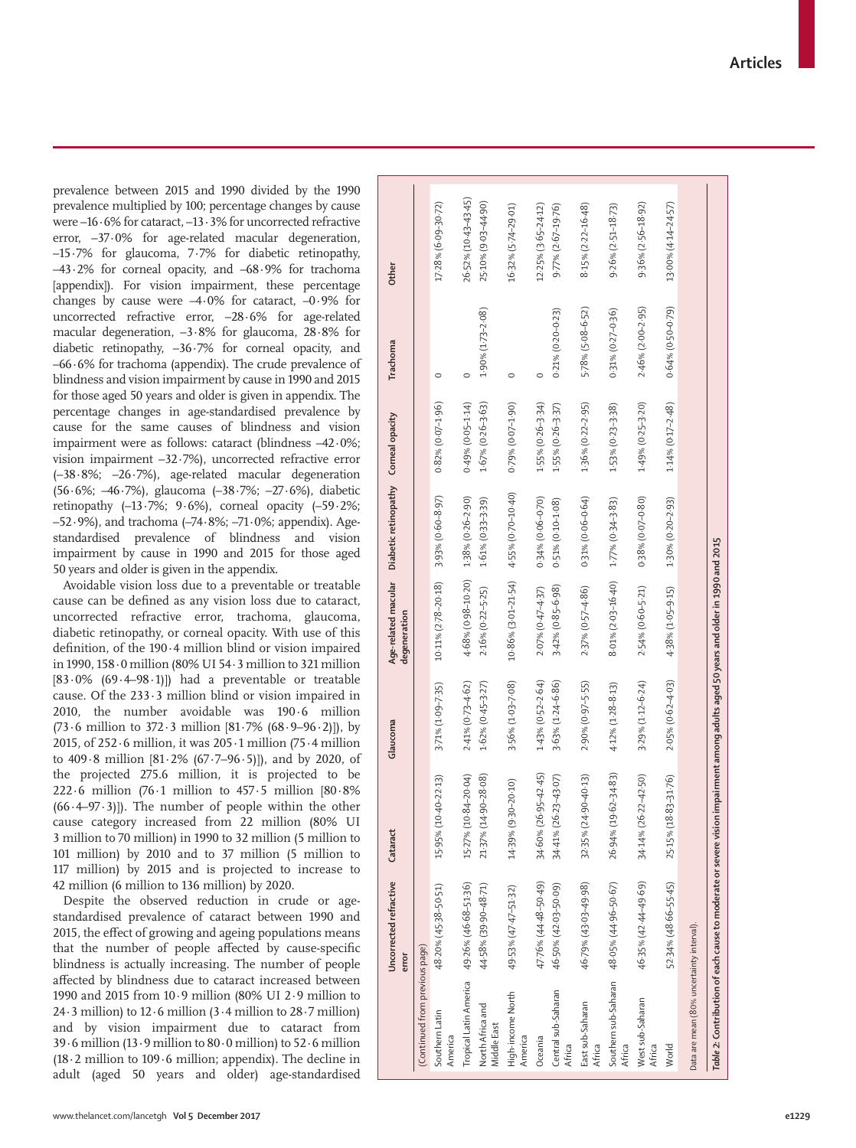prevalence between 2015 and 1990 divided by the 1990 prevalence multiplied by 100; percentage changes by cause were –16·6% for cataract, –13·3% for uncorrected refractive error, –37·0% for age-related macular degeneration, –15·7% for glaucoma, 7·7% for diabetic retinopathy, –43·2% for corneal opacity, and –68·9% for trachoma [appendix]). For vision impairment, these percentage changes by cause were  $-4.0\%$  for cataract,  $-0.9\%$  for uncorrected refractive error, –28·6% for age-related macular degeneration, –3·8% for glaucoma, 28·8% for diabetic retinopathy, –36·7% for corneal opacity, and –66·6% for trachoma (appendix). The crude prevalence of blindness and vision impairment by cause in 1990 and 2015 for those aged 50 years and older is given in appendix. The percentage changes in age-standardised prevalence by cause for the same causes of blindness and vision impairment were as follows: cataract (blindness –42·0%; vision impairment –32·7%), uncorrected refractive error (–38·8%; –26·7%), age-related macular degeneration (56·6%; –46·7%), glaucoma (–38·7%; –27·6%), diabetic retinopathy (–13·7%; 9·6%), corneal opacity (–59·2%; –52·9%), and trachoma (–74·8%; –71·0%; appendix). Agestandardised prevalence of blindness and vision impairment by cause in 1990 and 2015 for those aged 50 years and older is given in the appendix.

Avoidable vision loss due to a preventable or treatable cause can be defined as any vision loss due to cataract, uncorrected refractive error, trachoma, glaucoma, diabetic retinopathy, or corneal opacity. With use of this definition, of the 190·4 million blind or vision impaired in 1990, 158·0 million (80% UI 54·3 million to 321 million [83·0% (69·4–98·1)]) had a preventable or treatable cause. Of the 233·3 million blind or vision impaired in 2010, the number avoidable was 190·6 million  $(73.6 \text{ million to } 372.3 \text{ million } [81.7\% (68.9-96.2)]), \text{ by }$ 2015, of 252·6 million, it was 205·1 million (75·4 million to 409·8 million [81·2% (67·7–96·5)]), and by 2020, of the projected 275.6 million, it is projected to be 222·6 million (76·1 million to 457·5 million [80·8% (66·4–97·3)]). The number of people within the other cause category increased from 22 million (80% UI 3 million to 70 million) in 1990 to 32 million (5 million to 101 million) by 2010 and to 37 million (5 million to 117 million) by 2015 and is projected to increase to 42 million (6 million to 136 million) by 2020.

Despite the observed reduction in crude or agestandardised prevalence of cataract between 1990 and 2015, the effect of growing and ageing populations means that the number of people affected by cause-specific blindness is actually increasing. The number of people affected by blindness due to cataract increased between 1990 and 2015 from 10·9 million (80% UI 2·9 million to 24·3 million) to 12·6 million (3·4 million to 28·7 million) and by vision impairment due to cataract from 39·6 million (13·9 million to 80·0 million) to 52·6 million  $(18.2 \text{ million to } 109.6 \text{ million; appendix})$ . The decline in adult (aged 50 years and older) age-standardised  $\overline{c}$ 

 $(5)$  $\widehat{p}$ 

|                                           | Uncorrected refractive<br>error                                                                                                   | Cataract                  | Glaucoma               | Age-related macular<br>degeneration | Diabetic retinopathy Corneal opacity |                        | Trachoma               | Other                   |
|-------------------------------------------|-----------------------------------------------------------------------------------------------------------------------------------|---------------------------|------------------------|-------------------------------------|--------------------------------------|------------------------|------------------------|-------------------------|
| (Continued from previous page)            |                                                                                                                                   |                           |                        |                                     |                                      |                        |                        |                         |
| Southern Latin<br>America                 | 48.20% (45.38-50.51)                                                                                                              | 15.95% (10.40-22.13)      | 3.71% (1.09-7.35)      | 10.11% (2-78-20-18)                 | 3.93% (0.60-8.97)                    | $0.82\% (0.07 - 1.96)$ | $\circ$                | 17.28% (6.09-30.72)     |
| Tropical Latin America                    | 49.26% (46.68-51.36)                                                                                                              | 15.27% (10.84-20.04)      | 2.41% (0.73-4.62)      | 4.68% (0.98-10.20)                  | 1.38% (0.26-2.90)                    | 0.49% (0.05-1.14)      | $\circ$                | 26-52% (10-43-43-45)    |
| North Africa and<br>Middle East           | 44.58% (39.90-48.71)                                                                                                              | 21-37% (14-90-28-08)      | $1.62\% (0.45 - 3.27)$ | 2.16% (0.22-5.25)                   | 1.61% (0.33-3.39)                    | 1.67% (0.26-3.63)      | 1.90% (1.73-2.08)      | 25.10% (9.03-44.90)     |
| High-income North<br>America              | 49-53% (47-47-51-32)                                                                                                              | 14-39% (9-30-20-10)       | 3.56% (1.03-7.08)      | 10.86% (3.01-21.54)                 | 4-55% (0-70-10-40)                   | $0.79\%$ (0.07-1.90)   | $\circ$                | 16-32% (5-74-29-01)     |
| Oceania                                   | 47.76% (44.48-50.49)                                                                                                              | 34-60% (26-95-42-45)      | 1.43% (0.52-2.64)      | 2.07% (0.47-4.37)                   | 0.34% (0.06-0.70)                    | 1.55% (0.26-3.34)      | $\circ$                | 12-25% (3-65-24-12)     |
| Central sub-Saharan<br>Africa             | 46-50% (42-03-50-09)                                                                                                              | 34-41% (26-23-43-07)      | 3.63% (1.24-6.86)      | 3.42% (0.85-6.98)                   | $0.51\%$ (0.10-1.08)                 | 1.55% (0.26-3.37)      | $0.21\% (0.20 - 0.23)$ | $9.77\%$ (2.67-19.76)   |
| East sub-Saharan<br>Africa                | 46.79% (43.03-49.98)                                                                                                              | 32.35% (24.90-40.13)      | 2.90% (0.97-5.55)      | 2.37% (0.57-4.86)                   | 0.31% (0.06-0.64)                    | 1.36% (0.22-2.95)      | 5.78% (5.08-6.52)      | 8.15% (2.22-16.48)      |
| Africa                                    | Southern sub-Saharan 48.05% (44.96-50.67)                                                                                         | 26-94% (19-62-34-83)      | 4.12% (1.28-8.13)      | 8.01% (2-03-16-40)                  | $1.77\%$ (0.34-3.83)                 | 1.53% (0.23-3.38)      | $0.31\% (0.27 - 0.36)$ | $9.26\% (2.51 - 18.73)$ |
| West sub-Saharan<br>Africa                | 46-35% (42-44-49-69)                                                                                                              | 34.14% (26.22-42.50)      | 3.29% (1.12-6.24)      | 2.54% (0.60-5.21)                   | $0.38\%$ (0.07-0.80)                 | 1.49% (0.25-3.20)      | 2.46% (2.00-2.95)      | 9-36% (2-56-18-92)      |
| World                                     | 52.34% (48.66-55.45)                                                                                                              | 15% (18.83-31.76)<br>25.1 | 2.05% (0.62-4.03)      | 4.38% (1.05-9.15)                   | 1.30% (0.20-2.93)                    | $1.14\% (0.17 - 2.48)$ | $0.64\%$ (0.50-0.79)   | 13.00% (4.14-24-57)     |
| Data are mean (80% uncertainty interval). |                                                                                                                                   |                           |                        |                                     |                                      |                        |                        |                         |
|                                           | Table 2: Contribution of each cause to moderate or severe vision impairment among adults aged 50 years and older in 1990 and 2015 |                           |                        |                                     |                                      |                        |                        |                         |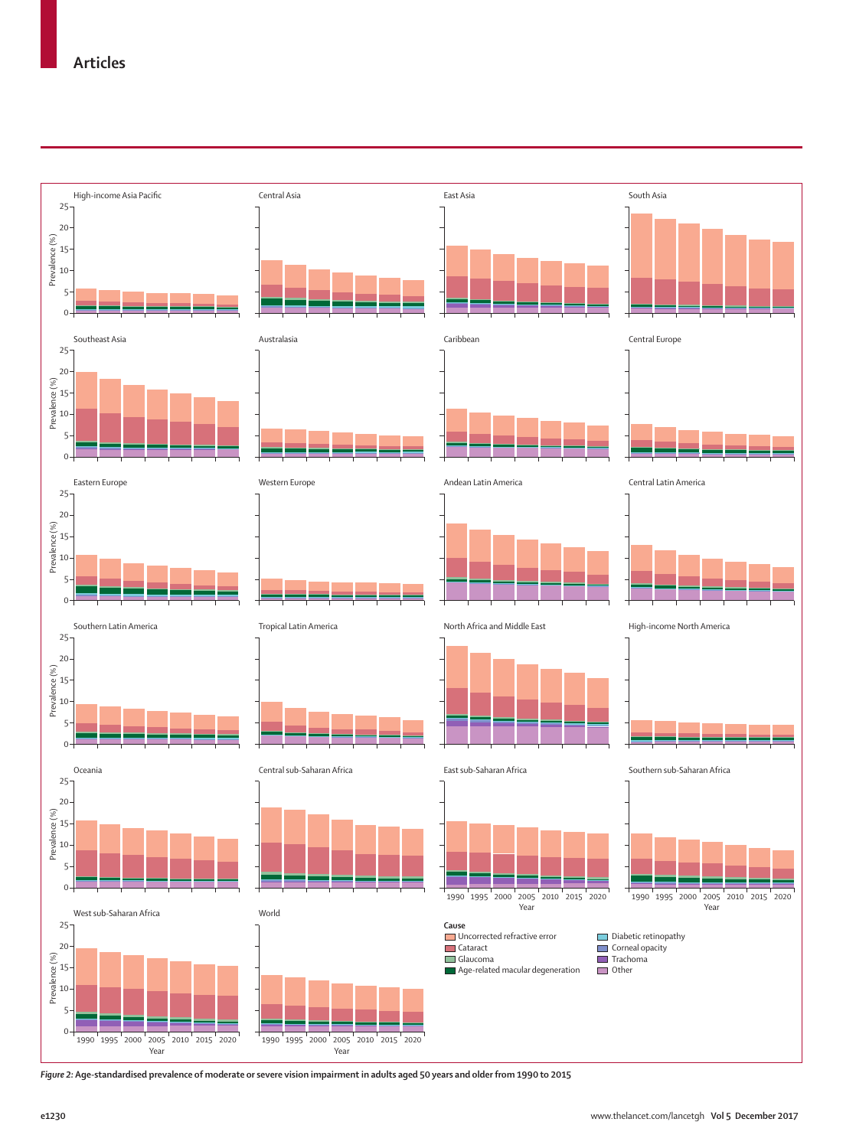

*Figure 2:* **Age-standardised prevalence of moderate or severe vision impairment in adults aged 50 years and older from 1990 to 2015**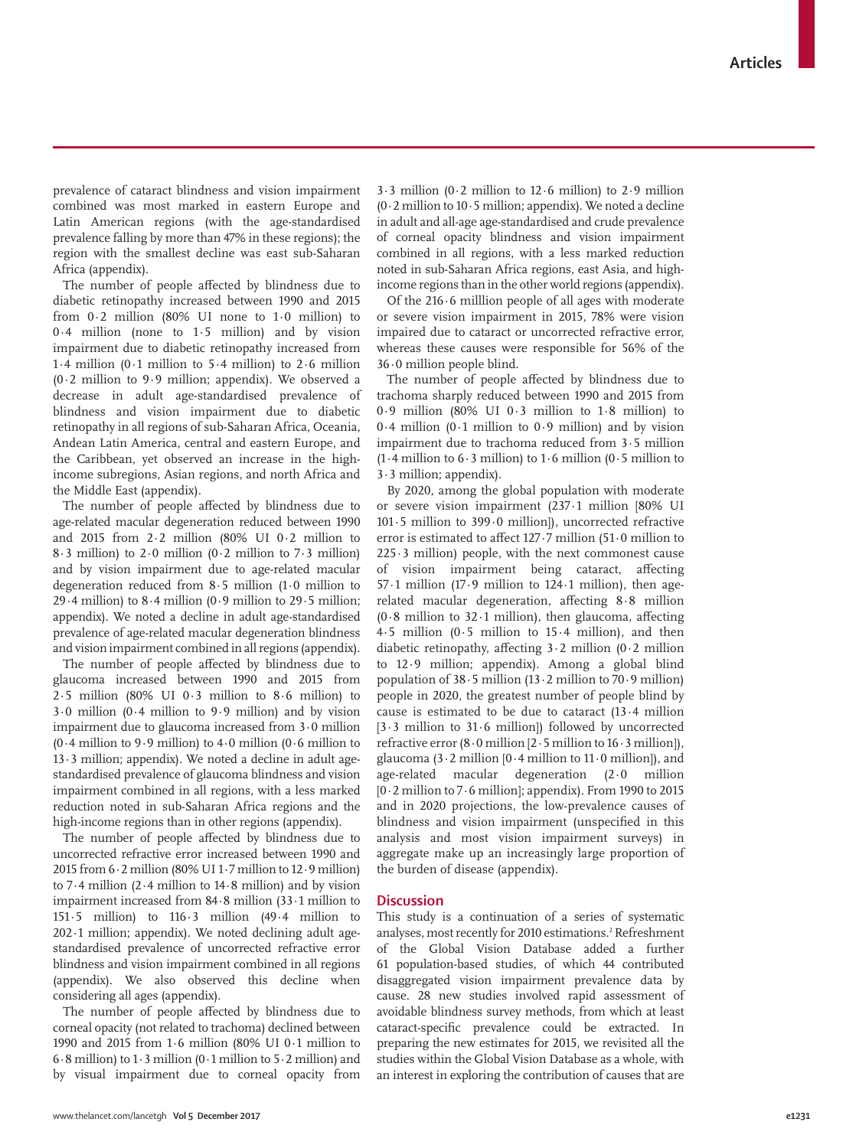prevalence of cataract blindness and vision impairment combined was most marked in eastern Europe and Latin American regions (with the age-standardised prevalence falling by more than 47% in these regions); the region with the smallest decline was east sub-Saharan Africa (appendix).

The number of people affected by blindness due to diabetic retinopathy increased between 1990 and 2015 from 0·2 million (80% UI none to 1·0 million) to 0·4 million (none to 1·5 million) and by vision impairment due to diabetic retinopathy increased from 1.4 million  $(0.1 \text{ million to } 5.4 \text{ million})$  to 2.6 million (0·2 million to 9·9 million; appendix). We observed a decrease in adult age-standardised prevalence of blindness and vision impairment due to diabetic retinopathy in all regions of sub-Saharan Africa, Oceania, Andean Latin America, central and eastern Europe, and the Caribbean, yet observed an increase in the highincome subregions, Asian regions, and north Africa and the Middle East (appendix).

The number of people affected by blindness due to age-related macular degeneration reduced between 1990 and 2015 from 2·2 million (80% UI 0·2 million to 8.3 million) to 2.0 million  $(0.2 \text{ million to } 7.3 \text{ million})$ and by vision impairment due to age-related macular degeneration reduced from 8·5 million (1·0 million to 29 $·4$  million) to  $8·4$  million (0 $·9$  million to 29 $·5$  million; appendix). We noted a decline in adult age-standardised prevalence of age-related macular degeneration blindness and vision impairment combined in all regions (appendix).

The number of people affected by blindness due to glaucoma increased between 1990 and 2015 from 2·5 million (80% UI 0·3 million to 8·6 million) to 3·0 million (0·4 million to 9·9 million) and by vision impairment due to glaucoma increased from 3·0 million  $(0.4 \text{ million to } 9.9 \text{ million})$  to  $4.0 \text{ million } (0.6 \text{ million to } 10.6 \text{ million})$  $13·3$  million; appendix). We noted a decline in adult agestandardised prevalence of glaucoma blindness and vision impairment combined in all regions, with a less marked reduction noted in sub-Saharan Africa regions and the high-income regions than in other regions (appendix).

The number of people affected by blindness due to uncorrected refractive error increased between 1990 and 2015 from  $6.2$  million  $(80\%$  UI 1 $\cdot$ 7 million to 12 $\cdot$ 9 million) to 7·4 million (2·4 million to 14·8 million) and by vision impairment increased from 84·8 million (33·1 million to 151·5 million) to 116·3 million (49·4 million to 202·1 million; appendix). We noted declining adult agestandardised prevalence of uncorrected refractive error blindness and vision impairment combined in all regions (appendix). We also observed this decline when considering all ages (appendix).

The number of people affected by blindness due to corneal opacity (not related to trachoma) declined between 1990 and 2015 from 1·6 million (80% UI 0·1 million to 6.8 million) to 1.3 million  $(0.1$  million to  $5.2$  million) and by visual impairment due to corneal opacity from  $3·3$  million  $(0·2$  million to  $12·6$  million) to  $2·9$  million (0 $\cdot$ 2 million to 10 $\cdot$ 5 million; appendix). We noted a decline in adult and all-age age-standardised and crude prevalence of corneal opacity blindness and vision impairment combined in all regions, with a less marked reduction noted in sub-Saharan Africa regions, east Asia, and highincome regions than in the other world regions (appendix).

Of the 216·6 milllion people of all ages with moderate or severe vision impairment in 2015, 78% were vision impaired due to cataract or uncorrected refractive error, whereas these causes were responsible for 56% of the 36·0 million people blind.

The number of people affected by blindness due to trachoma sharply reduced between 1990 and 2015 from 0·9 million (80% UI 0·3 million to 1·8 million) to 0·4 million (0·1 million to 0·9 million) and by vision impairment due to trachoma reduced from 3·5 million  $(1.4 \text{ million to } 6.3 \text{ million})$  to  $1.6 \text{ million } (0.5 \text{ million to } 1.6 \text{ million})$ 3·3 million; appendix).

By 2020, among the global population with moderate or severe vision impairment (237·1 million [80% UI 101·5 million to 399·0 million]), uncorrected refractive error is estimated to affect 127·7 million (51·0 million to 225·3 million) people, with the next commonest cause of vision impairment being cataract, affecting 57 $\cdot$ 1 million (17 $\cdot$ 9 million to 124 $\cdot$ 1 million), then agerelated macular degeneration, affecting 8·8 million (0·8 million to 32·1 million), then glaucoma, affecting 4·5 million (0·5 million to 15·4 million), and then diabetic retinopathy, affecting 3·2 million (0·2 million to 12·9 million; appendix). Among a global blind population of  $38.5$  million  $(13.2 \text{ million to } 70.9 \text{ million})$ people in 2020, the greatest number of people blind by cause is estimated to be due to cataract (13·4 million [3·3 million to 31·6 million]) followed by uncorrected refractive error  $(8.0 \text{ million} \, [2.5 \text{ million} \, \text{to} \, 16.3 \text{ million}]),$ glaucoma (3 $\cdot$ 2 million [0 $\cdot$ 4 million to 11 $\cdot$ 0 million]), and age-related macular degeneration (2·0 million  $[0.2 \text{ million to } 7.6 \text{ million}]$ ; appendix). From 1990 to 2015 and in 2020 projections, the low-prevalence causes of blindness and vision impairment (unspecified in this analysis and most vision impairment surveys) in aggregate make up an increasingly large proportion of the burden of disease (appendix).

# **Discussion**

This study is a continuation of a series of systematic analyses, most recently for 2010 estimations.<sup>2</sup> Refreshment of the Global Vision Database added a further 61 population-based studies, of which 44 contributed disaggregated vision impairment prevalence data by cause. 28 new studies involved rapid assessment of avoidable blindness survey methods, from which at least cataract-specific prevalence could be extracted. In preparing the new estimates for 2015, we revisited all the studies within the Global Vision Database as a whole, with an interest in exploring the contribution of causes that are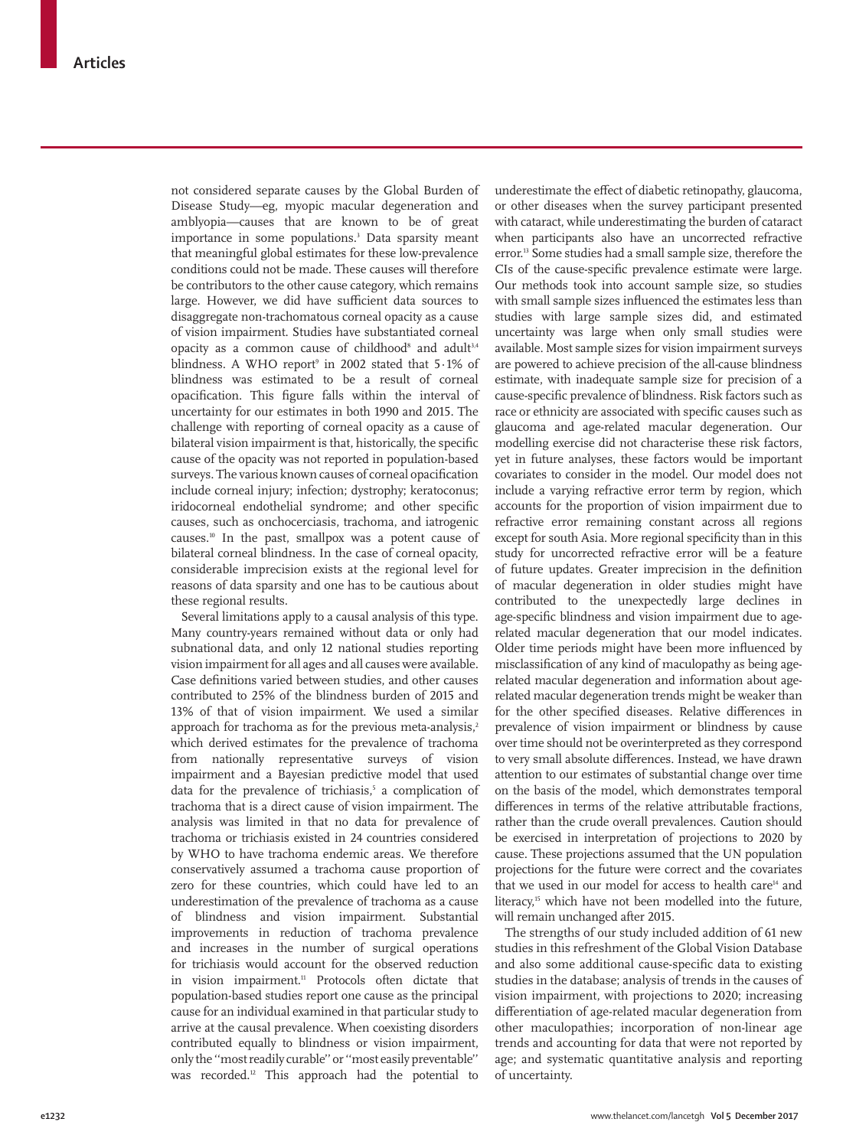not considered separate causes by the Global Burden of Disease Study—eg, myopic macular degeneration and amblyopia—causes that are known to be of great importance in some populations.3 Data sparsity meant that meaningful global estimates for these low-prevalence conditions could not be made. These causes will therefore be contributors to the other cause category, which remains large. However, we did have sufficient data sources to disaggregate non-trachomatous corneal opacity as a cause of vision impairment. Studies have substantiated corneal opacity as a common cause of childhood<sup>s</sup> and adult<sup>3,4</sup> blindness. A WHO report<sup>9</sup> in 2002 stated that 5·1% of blindness was estimated to be a result of corneal opacification. This figure falls within the interval of uncertainty for our estimates in both 1990 and 2015. The challenge with reporting of corneal opacity as a cause of bilateral vision impairment is that, historically, the specific cause of the opacity was not reported in population-based surveys. The various known causes of corneal opacification include corneal injury; infection; dystrophy; keratoconus; iridocorneal endothelial syndrome; and other specific causes, such as onchocerciasis, trachoma, and iatrogenic causes.10 In the past, smallpox was a potent cause of bilateral corneal blindness. In the case of corneal opacity, considerable imprecision exists at the regional level for reasons of data sparsity and one has to be cautious about these regional results.

Several limitations apply to a causal analysis of this type. Many country-years remained without data or only had subnational data, and only 12 national studies reporting vision impairment for all ages and all causes were available. Case definitions varied between studies, and other causes contributed to 25% of the blindness burden of 2015 and 13% of that of vision impairment. We used a similar approach for trachoma as for the previous meta-analysis,<sup>2</sup> which derived estimates for the prevalence of trachoma from nationally representative surveys of vision impairment and a Bayesian predictive model that used data for the prevalence of trichiasis,<sup>5</sup> a complication of trachoma that is a direct cause of vision impairment. The analysis was limited in that no data for prevalence of trachoma or trichiasis existed in 24 countries considered by WHO to have trachoma endemic areas. We therefore conservatively assumed a trachoma cause proportion of zero for these countries, which could have led to an underestimation of the prevalence of trachoma as a cause of blindness and vision impairment. Substantial improvements in reduction of trachoma prevalence and increases in the number of surgical operations for trichiasis would account for the observed reduction in vision impairment.<sup>11</sup> Protocols often dictate that population-based studies report one cause as the principal cause for an individual examined in that particular study to arrive at the causal prevalence. When coexisting disorders contributed equally to blindness or vision impairment, only the ''most readily curable'' or ''most easily preventable'' was recorded.<sup>12</sup> This approach had the potential to

underestimate the effect of diabetic retinopathy, glaucoma, or other diseases when the survey participant presented with cataract, while underestimating the burden of cataract when participants also have an uncorrected refractive error.13 Some studies had a small sample size, therefore the CIs of the cause-specific prevalence estimate were large. Our methods took into account sample size, so studies with small sample sizes influenced the estimates less than studies with large sample sizes did, and estimated uncertainty was large when only small studies were available. Most sample sizes for vision impairment surveys are powered to achieve precision of the all-cause blindness estimate, with inadequate sample size for precision of a cause-specific prevalence of blindness. Risk factors such as race or ethnicity are associated with specific causes such as glaucoma and age-related macular degeneration. Our modelling exercise did not characterise these risk factors, yet in future analyses, these factors would be important covariates to consider in the model. Our model does not include a varying refractive error term by region, which accounts for the proportion of vision impairment due to refractive error remaining constant across all regions except for south Asia. More regional specificity than in this study for uncorrected refractive error will be a feature of future updates. Greater imprecision in the definition of macular degeneration in older studies might have contributed to the unexpectedly large declines in age-specific blindness and vision impairment due to agerelated macular degeneration that our model indicates. Older time periods might have been more influenced by misclassification of any kind of maculopathy as being agerelated macular degeneration and information about agerelated macular degeneration trends might be weaker than for the other specified diseases. Relative differences in prevalence of vision impairment or blindness by cause over time should not be overinterpreted as they correspond to very small absolute differences. Instead, we have drawn attention to our estimates of substantial change over time on the basis of the model, which demonstrates temporal differences in terms of the relative attributable fractions, rather than the crude overall prevalences. Caution should be exercised in interpretation of projections to 2020 by cause. These projections assumed that the UN population projections for the future were correct and the covariates that we used in our model for access to health care<sup>14</sup> and literacy,<sup>15</sup> which have not been modelled into the future, will remain unchanged after 2015.

The strengths of our study included addition of 61 new studies in this refreshment of the Global Vision Database and also some additional cause-specific data to existing studies in the database; analysis of trends in the causes of vision impairment, with projections to 2020; increasing differentiation of age-related macular degeneration from other maculopathies; incorporation of non-linear age trends and accounting for data that were not reported by age; and systematic quantitative analysis and reporting of uncertainty.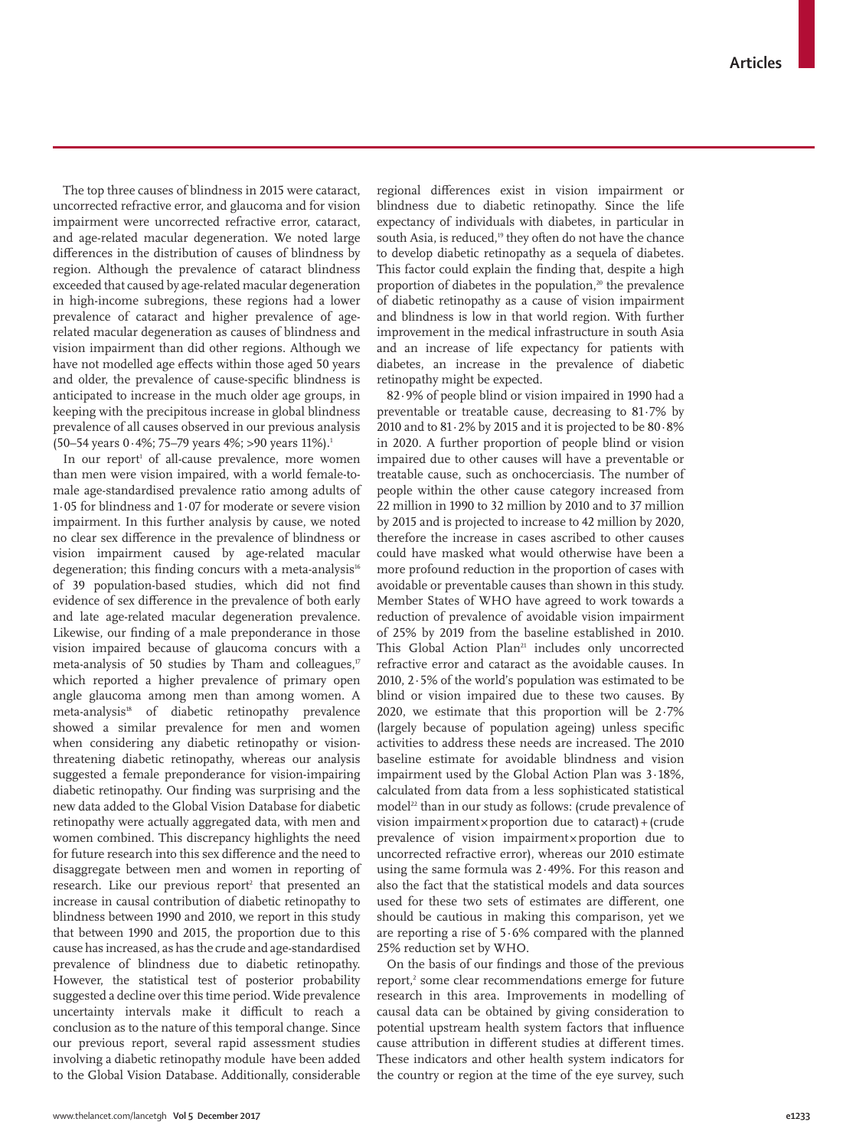The top three causes of blindness in 2015 were cataract, uncorrected refractive error, and glaucoma and for vision impairment were uncorrected refractive error, cataract, and age-related macular degeneration. We noted large differences in the distribution of causes of blindness by region. Although the prevalence of cataract blindness exceeded that caused by age-related macular degeneration in high-income subregions, these regions had a lower prevalence of cataract and higher prevalence of agerelated macular degeneration as causes of blindness and vision impairment than did other regions. Although we have not modelled age effects within those aged 50 years and older, the prevalence of cause-specific blindness is anticipated to increase in the much older age groups, in keeping with the precipitous increase in global blindness prevalence of all causes observed in our previous analysis (50–54 years 0·4%; 75–79 years 4%; >90 years 11%).1

In our report<sup>1</sup> of all-cause prevalence, more women than men were vision impaired, with a world female-tomale age-standardised prevalence ratio among adults of 1·05 for blindness and 1·07 for moderate or severe vision impairment. In this further analysis by cause, we noted no clear sex difference in the prevalence of blindness or vision impairment caused by age-related macular degeneration; this finding concurs with a meta-analysis<sup>16</sup> of 39 population-based studies, which did not find evidence of sex difference in the prevalence of both early and late age-related macular degeneration prevalence. Likewise, our finding of a male preponderance in those vision impaired because of glaucoma concurs with a meta-analysis of 50 studies by Tham and colleagues, $17$ which reported a higher prevalence of primary open angle glaucoma among men than among women. A meta-analysis<sup>18</sup> of diabetic retinopathy prevalence showed a similar prevalence for men and women when considering any diabetic retinopathy or visionthreatening diabetic retinopathy, whereas our analysis suggested a female preponderance for vision-impairing diabetic retinopathy. Our finding was surprising and the new data added to the Global Vision Database for diabetic retinopathy were actually aggregated data, with men and women combined. This discrepancy highlights the need for future research into this sex difference and the need to disaggregate between men and women in reporting of research. Like our previous report<sup>2</sup> that presented an increase in causal contribution of diabetic retinopathy to blindness between 1990 and 2010, we report in this study that between 1990 and 2015, the proportion due to this cause has increased, as has the crude and age-standardised prevalence of blindness due to diabetic retinopathy. However, the statistical test of posterior probability suggested a decline over this time period. Wide prevalence uncertainty intervals make it difficult to reach a conclusion as to the nature of this temporal change. Since our previous report, several rapid assessment studies involving a diabetic retinopathy module have been added to the Global Vision Database. Additionally, considerable

regional differences exist in vision impairment or blindness due to diabetic retinopathy. Since the life expectancy of individuals with diabetes, in particular in south Asia, is reduced,<sup>19</sup> they often do not have the chance to develop diabetic retinopathy as a sequela of diabetes. This factor could explain the finding that, despite a high proportion of diabetes in the population, $20$  the prevalence of diabetic retinopathy as a cause of vision impairment and blindness is low in that world region. With further improvement in the medical infrastructure in south Asia and an increase of life expectancy for patients with diabetes, an increase in the prevalence of diabetic retinopathy might be expected.

82·9% of people blind or vision impaired in 1990 had a preventable or treatable cause, decreasing to 81·7% by 2010 and to 81·2% by 2015 and it is projected to be 80·8% in 2020. A further proportion of people blind or vision impaired due to other causes will have a preventable or treatable cause, such as onchocerciasis. The number of people within the other cause category increased from 22 million in 1990 to 32 million by 2010 and to 37 million by 2015 and is projected to increase to 42 million by 2020, therefore the increase in cases ascribed to other causes could have masked what would otherwise have been a more profound reduction in the proportion of cases with avoidable or preventable causes than shown in this study. Member States of WHO have agreed to work towards a reduction of prevalence of avoidable vision impairment of 25% by 2019 from the baseline established in 2010. This Global Action Plan<sup>21</sup> includes only uncorrected refractive error and cataract as the avoidable causes. In 2010, 2·5% of the world's population was estimated to be blind or vision impaired due to these two causes. By 2020, we estimate that this proportion will be 2·7% (largely because of population ageing) unless specific activities to address these needs are increased. The 2010 baseline estimate for avoidable blindness and vision impairment used by the Global Action Plan was 3·18%, calculated from data from a less sophisticated statistical model<sup>22</sup> than in our study as follows: (crude prevalence of vision impairment×proportion due to cataract)+(crude prevalence of vision impairment×proportion due to uncorrected refractive error), whereas our 2010 estimate using the same formula was 2·49%. For this reason and also the fact that the statistical models and data sources used for these two sets of estimates are different, one should be cautious in making this comparison, yet we are reporting a rise of 5·6% compared with the planned 25% reduction set by WHO.

On the basis of our findings and those of the previous report,<sup>2</sup> some clear recommendations emerge for future research in this area. Improvements in modelling of causal data can be obtained by giving consideration to potential upstream health system factors that influence cause attribution in different studies at different times. These indicators and other health system indicators for the country or region at the time of the eye survey, such